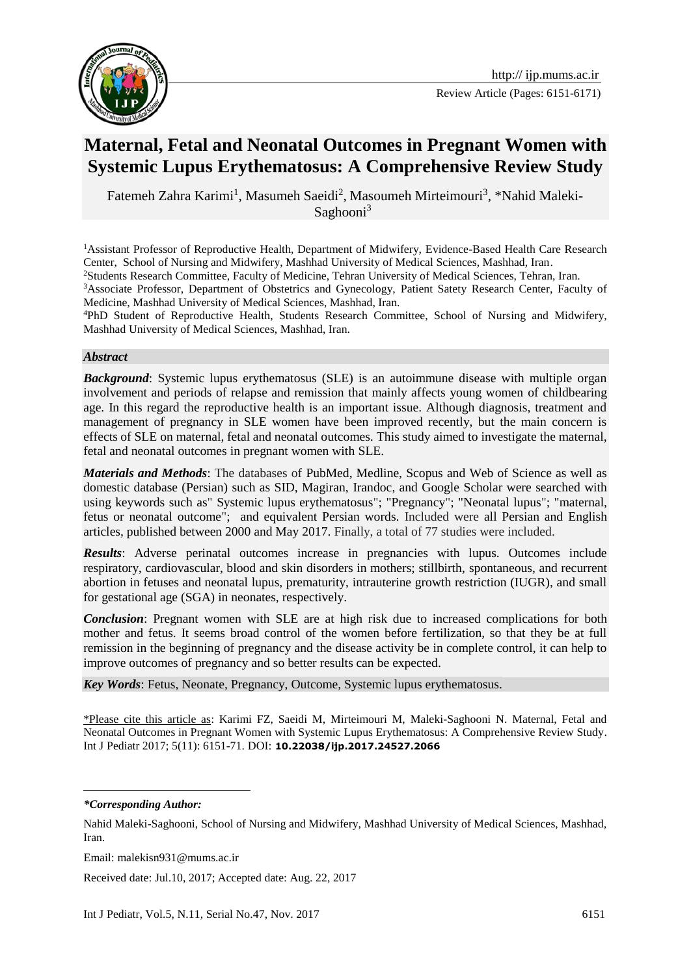

Review Article (Pages: 6151-6171)

# **Maternal, Fetal and Neonatal Outcomes in Pregnant Women with Systemic Lupus Erythematosus: A Comprehensive Review Study**

Fatemeh Zahra Karimi<sup>1</sup>, Masumeh Saeidi<sup>2</sup>, Masoumeh Mirteimouri<sup>3</sup>, \*Nahid Maleki-Saghooni $3$ 

<sup>1</sup>Assistant Professor of Reproductive Health, Department of Midwifery, Evidence-Based Health Care Research Center, School of Nursing and Midwifery, Mashhad University of Medical Sciences, Mashhad, Iran. <sup>2</sup>Students Research Committee, Faculty of Medicine, Tehran University of Medical Sciences, Tehran, Iran.

<sup>3</sup>Associate Professor, Department of Obstetrics and Gynecology, Patient Satety Research Center, Faculty of Medicine, Mashhad University of Medical Sciences, Mashhad, Iran.

<sup>4</sup>PhD Student of Reproductive Health, Students Research Committee, School of Nursing and Midwifery, Mashhad University of Medical Sciences, Mashhad, Iran.

#### *Abstract*

**Background:** Systemic lupus erythematosus (SLE) is an autoimmune disease with multiple organ involvement and periods of relapse and remission that mainly affects young women of childbearing age. In this regard the reproductive health is an important issue. Although diagnosis, treatment and management of pregnancy in SLE women have been improved recently, but the main concern is effects of SLE on maternal, fetal and neonatal outcomes. This study aimed to investigate the maternal, fetal and neonatal outcomes in pregnant women with SLE.

*Materials and Methods*: The databases of PubMed, Medline, Scopus and Web of Science as well as domestic database (Persian) such as SID, Magiran, Irandoc, and Google Scholar were searched with using keywords such as" Systemic lupus erythematosus"; "Pregnancy"; "Neonatal lupus"; "maternal, fetus or neonatal outcome"; and equivalent Persian words. Included were all Persian and English articles, published between 2000 and May 2017. Finally, a total of 77 studies were included.

*Results*: Adverse perinatal outcomes increase in pregnancies with lupus. Outcomes include respiratory, cardiovascular, blood and skin disorders in mothers; stillbirth, spontaneous, and recurrent abortion in fetuses and neonatal lupus, prematurity, intrauterine growth restriction (IUGR), and small for gestational age (SGA) in neonates, respectively.

*Conclusion*: Pregnant women with SLE are at high risk due to increased complications for both mother and fetus. It seems broad control of the women before fertilization, so that they be at full remission in the beginning of pregnancy and the disease activity be in complete control, it can help to improve outcomes of pregnancy and so better results can be expected.

*Key Words*: Fetus, Neonate, Pregnancy, Outcome, Systemic lupus erythematosus.

\*Please cite this article as: Karimi FZ, Saeidi M, Mirteimouri M, Maleki-Saghooni N. Maternal, Fetal and Neonatal Outcomes in Pregnant Women with Systemic Lupus Erythematosus: A Comprehensive Review Study. Int J Pediatr 2017; 5(11): 6151-71. DOI: **10.22038/ijp.2017.24527.2066**

1

Received date: Jul.10, 2017; Accepted date: Aug. 22, 2017

*<sup>\*</sup>Corresponding Author:* 

Nahid Maleki-Saghooni, School of Nursing and Midwifery, Mashhad University of Medical Sciences, Mashhad, Iran.

Email: malekisn931@mums.ac.ir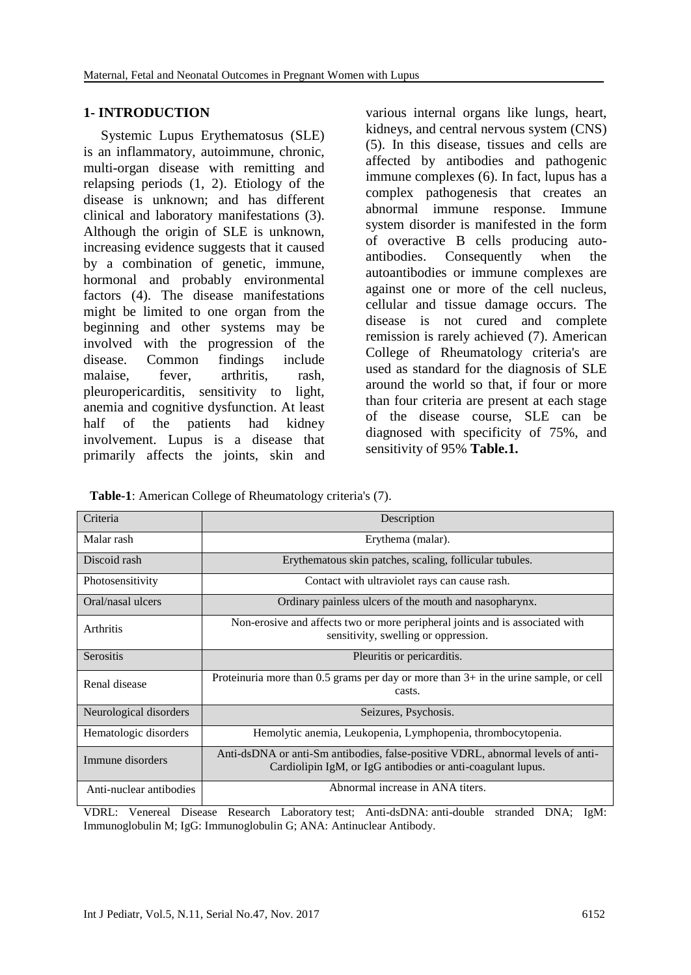#### **1- INTRODUCTION**

 Systemic Lupus Erythematosus (SLE) is an inflammatory, autoimmune, chronic, multi-organ disease with remitting and relapsing periods (1, 2). Etiology of the disease is unknown; and has different clinical and laboratory manifestations (3). Although the origin of SLE is unknown, increasing evidence suggests that it caused by a combination of genetic, immune, hormonal and probably environmental factors (4). The disease manifestations might be limited to one organ from the beginning and other systems may be involved with the progression of the disease. Common findings include malaise, fever, arthritis, rash, pleuropericarditis, sensitivity to light, anemia and cognitive dysfunction. At least half of the patients had kidney involvement. Lupus is a disease that primarily affects the joints, skin and

various internal organs like lungs, heart, kidneys, and central nervous system (CNS) (5). In this disease, tissues and cells are affected by antibodies and pathogenic immune complexes (6). In fact, lupus has a complex pathogenesis that creates an abnormal immune response. Immune system disorder is manifested in the form of overactive B cells producing autoantibodies. Consequently when the autoantibodies or immune complexes are against one or more of the cell nucleus, cellular and tissue damage occurs. The disease is not cured and complete remission is rarely achieved (7). American College of Rheumatology criteria's are used as standard for the diagnosis of SLE around the world so that, if four or more than four criteria are present at each stage of the disease course, SLE can be diagnosed with specificity of 75%, and sensitivity of 95% **Table.1.**

 **Table-1**: American College of Rheumatology criteria's (7).

| Criteria                | Description                                                                                                                                    |
|-------------------------|------------------------------------------------------------------------------------------------------------------------------------------------|
| Malar rash              | Erythema (malar).                                                                                                                              |
| Discoid rash            | Erythematous skin patches, scaling, follicular tubules.                                                                                        |
| Photosensitivity        | Contact with ultraviolet rays can cause rash.                                                                                                  |
| Oral/nasal ulcers       | Ordinary painless ulcers of the mouth and nasopharynx.                                                                                         |
| <b>Arthritis</b>        | Non-erosive and affects two or more peripheral joints and is associated with<br>sensitivity, swelling or oppression.                           |
| <b>Serositis</b>        | Pleuritis or pericarditis.                                                                                                                     |
| Renal disease           | Proteinuria more than 0.5 grams per day or more than $3+$ in the urine sample, or cell<br>casts.                                               |
| Neurological disorders  | Seizures, Psychosis.                                                                                                                           |
| Hematologic disorders   | Hemolytic anemia, Leukopenia, Lymphopenia, thrombocytopenia.                                                                                   |
| Immune disorders        | Anti-dsDNA or anti-Sm antibodies, false-positive VDRL, abnormal levels of anti-<br>Cardiolipin IgM, or IgG antibodies or anti-coagulant lupus. |
| Anti-nuclear antibodies | Abnormal increase in ANA titers.                                                                                                               |

VDRL: Venereal Disease Research Laboratory test; Anti-dsDNA: anti-double stranded DNA; IgM: Immunoglobulin M; IgG: Immunoglobulin G; ANA: [Antinuclear Antibody.](https://www.google.com/url?sa=t&rct=j&q=&esrc=s&source=web&cd=5&cad=rja&uact=8&ved=0ahUKEwiDqLnmxvbVAhWEIVAKHfeKBgkQFgg7MAQ&url=https%3A%2F%2Flabtestsonline.org%2Funderstanding%2Fanalytes%2Fana%2Ftab%2Ftest%2F&usg=AFQjCNHzcVsOSB41NNlOpfYAT8b2IDTL9w)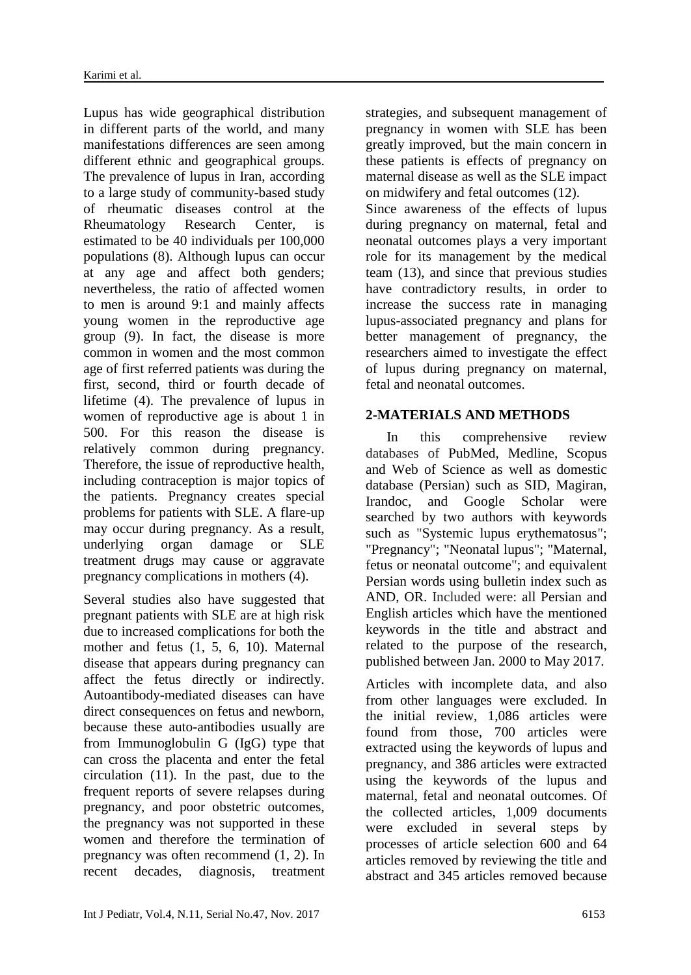Lupus has wide geographical distribution in different parts of the world, and many manifestations differences are seen among different ethnic and geographical groups. The prevalence of lupus in Iran, according to a large study of community-based study of rheumatic diseases control at the Rheumatology Research Center, is estimated to be 40 individuals per 100,000 populations (8). Although lupus can occur at any age and affect both genders; nevertheless, the ratio of affected women to men is around 9:1 and mainly affects young women in the reproductive age group (9). In fact, the disease is more common in women and the most common age of first referred patients was during the first, second, third or fourth decade of lifetime (4). The prevalence of lupus in women of reproductive age is about 1 in 500. For this reason the disease is relatively common during pregnancy. Therefore, the issue of reproductive health, including contraception is major topics of the patients. Pregnancy creates special problems for patients with SLE. A flare-up may occur during pregnancy. As a result, underlying organ damage or SLE treatment drugs may cause or aggravate pregnancy complications in mothers (4).

Several studies also have suggested that pregnant patients with SLE are at high risk due to increased complications for both the mother and fetus (1, 5, 6, 10). Maternal disease that appears during pregnancy can affect the fetus directly or indirectly. Autoantibody-mediated diseases can have direct consequences on fetus and newborn, because these auto-antibodies usually are from Immunoglobulin G (IgG) type that can cross the placenta and enter the fetal circulation (11). In the past, due to the frequent reports of severe relapses during pregnancy, and poor obstetric outcomes, the pregnancy was not supported in these women and therefore the termination of pregnancy was often recommend (1, 2). In recent decades, diagnosis, treatment

strategies, and subsequent management of pregnancy in women with SLE has been greatly improved, but the main concern in these patients is effects of pregnancy on maternal disease as well as the SLE impact on midwifery and fetal outcomes (12). Since awareness of the effects of lupus during pregnancy on maternal, fetal and neonatal outcomes plays a very important role for its management by the medical team (13), and since that previous studies have contradictory results, in order to increase the success rate in managing lupus-associated pregnancy and plans for better management of pregnancy, the

researchers aimed to investigate the effect of lupus during pregnancy on maternal, fetal and neonatal outcomes.

#### **2-MATERIALS AND METHODS**

 In this comprehensive review databases of PubMed, Medline, Scopus and Web of Science as well as domestic database (Persian) such as SID, Magiran, Irandoc, and Google Scholar were searched by two authors with keywords such as "Systemic lupus erythematosus"; "Pregnancy"; "Neonatal lupus"; "Maternal, fetus or neonatal outcome"; and equivalent Persian words using bulletin index such as AND, OR. Included were: all Persian and English articles which have the mentioned keywords in the title and abstract and related to the purpose of the research, published between Jan. 2000 to May 2017.

Articles with incomplete data, and also from other languages were excluded. In the initial review, 1,086 articles were found from those, 700 articles were extracted using the keywords of lupus and pregnancy, and 386 articles were extracted using the keywords of the lupus and maternal, fetal and neonatal outcomes. Of the collected articles, 1,009 documents were excluded in several steps by processes of article selection 600 and 64 articles removed by reviewing the title and abstract and 345 articles removed because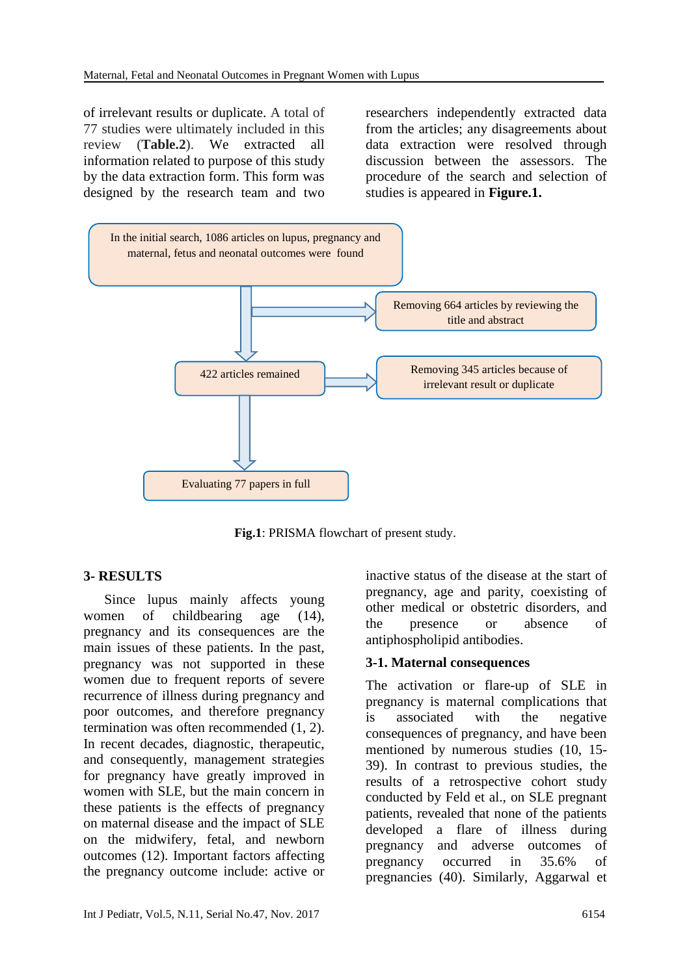of irrelevant results or duplicate. A total of 77 studies were ultimately included in this review (**Table.2**). We extracted all information related to purpose of this study by the data extraction form. This form was designed by the research team and two researchers independently extracted data from the articles; any disagreements about data extraction were resolved through discussion between the assessors. The procedure of the search and selection of studies is appeared in **Figure.1.**



**Fig.1**: PRISMA flowchart of present study.

## **3- RESULTS**

 Since lupus mainly affects young women of childbearing age (14), pregnancy and its consequences are the main issues of these patients. In the past, pregnancy was not supported in these women due to frequent reports of severe recurrence of illness during pregnancy and poor outcomes, and therefore pregnancy termination was often recommended (1, 2). In recent decades, diagnostic, therapeutic, and consequently, management strategies for pregnancy have greatly improved in women with SLE, but the main concern in these patients is the effects of pregnancy on maternal disease and the impact of SLE on the midwifery, fetal, and newborn outcomes (12). Important factors affecting the pregnancy outcome include: active or inactive status of the disease at the start of pregnancy, age and parity, coexisting of other medical or obstetric disorders, and the presence or absence of antiphospholipid antibodies.

#### **3-1. Maternal consequences**

The activation or flare-up of SLE in pregnancy is maternal complications that is associated with the negative consequences of pregnancy, and have been mentioned by numerous studies (10, 15- 39). In contrast to previous studies, the results of a retrospective cohort study conducted by Feld et al., on SLE pregnant patients, revealed that none of the patients developed a flare of illness during pregnancy and adverse outcomes of pregnancy occurred in 35.6% of pregnancies (40). Similarly, Aggarwal et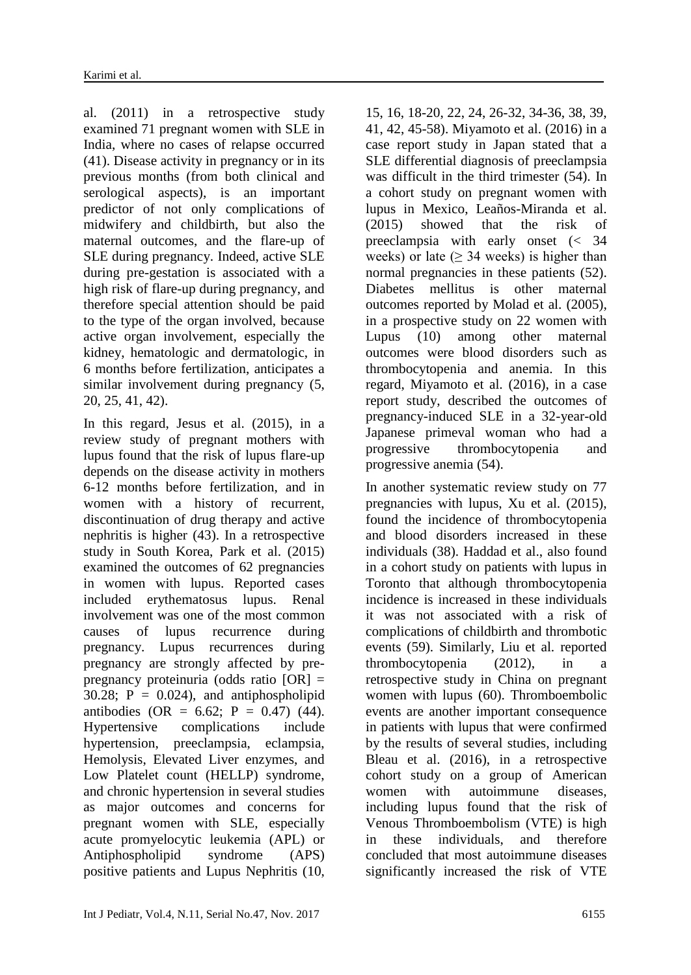al. (2011) in a retrospective study examined 71 pregnant women with SLE in India, where no cases of relapse occurred (41). Disease activity in pregnancy or in its previous months (from both clinical and serological aspects), is an important predictor of not only complications of midwifery and childbirth, but also the maternal outcomes, and the flare-up of SLE during pregnancy. Indeed, active SLE during pre-gestation is associated with a high risk of flare-up during pregnancy, and therefore special attention should be paid to the type of the organ involved, because active organ involvement, especially the kidney, hematologic and dermatologic, in 6 months before fertilization, anticipates a similar involvement during pregnancy (5, 20, 25, 41, 42).

In this regard, Jesus et al. (2015), in a review study of pregnant mothers with lupus found that the risk of lupus flare-up depends on the disease activity in mothers 6-12 months before fertilization, and in women with a history of recurrent, discontinuation of drug therapy and active nephritis is higher (43). In a retrospective study in South Korea, Park et al. (2015) examined the outcomes of 62 pregnancies in women with lupus. Reported cases included erythematosus lupus. Renal involvement was one of the most common causes of lupus recurrence during pregnancy. Lupus recurrences during pregnancy are strongly affected by prepregnancy proteinuria (odds ratio [OR] = 30.28;  $P = 0.024$ , and antiphospholipid antibodies (OR = 6.62; P = 0.47) (44). Hypertensive complications include hypertension, preeclampsia, eclampsia, Hemolysis, Elevated Liver enzymes, and Low Platelet count (HELLP) syndrome, and chronic hypertension in several studies as major outcomes and concerns for pregnant women with SLE, especially acute promyelocytic leukemia (APL) or Antiphospholipid syndrome (APS) positive patients and Lupus Nephritis (10,

15, 16, 18-20, 22, 24, 26-32, 34-36, 38, 39, 41, 42, 45-58). Miyamoto et al. (2016) in a case report study in Japan stated that a SLE differential diagnosis of preeclampsia was difficult in the third trimester (54). In a cohort study on pregnant women with lupus in Mexico, Leaños-Miranda et al. (2015) showed that the risk of preeclampsia with early onset (< 34 weeks) or late ( $\geq$  34 weeks) is higher than normal pregnancies in these patients (52). Diabetes mellitus is other maternal outcomes reported by Molad et al. (2005), in a prospective study on 22 women with Lupus (10) among other maternal outcomes were blood disorders such as thrombocytopenia and anemia. In this regard, Miyamoto et al. (2016), in a case report study, described the outcomes of pregnancy-induced SLE in a 32-year-old Japanese primeval woman who had a progressive thrombocytopenia and progressive anemia (54).

In another systematic review study on 77 pregnancies with lupus, Xu et al. (2015), found the incidence of thrombocytopenia and blood disorders increased in these individuals (38). Haddad et al., also found in a cohort study on patients with lupus in Toronto that although thrombocytopenia incidence is increased in these individuals it was not associated with a risk of complications of childbirth and thrombotic events (59). Similarly, Liu et al. reported thrombocytopenia (2012), in a retrospective study in China on pregnant women with lupus (60). Thromboembolic events are another important consequence in patients with lupus that were confirmed by the results of several studies, including Bleau et al. (2016), in a retrospective cohort study on a group of American women with autoimmune diseases, including lupus found that the risk of Venous Thromboembolism (VTE) is high in these individuals, and therefore concluded that most autoimmune diseases significantly increased the risk of VTE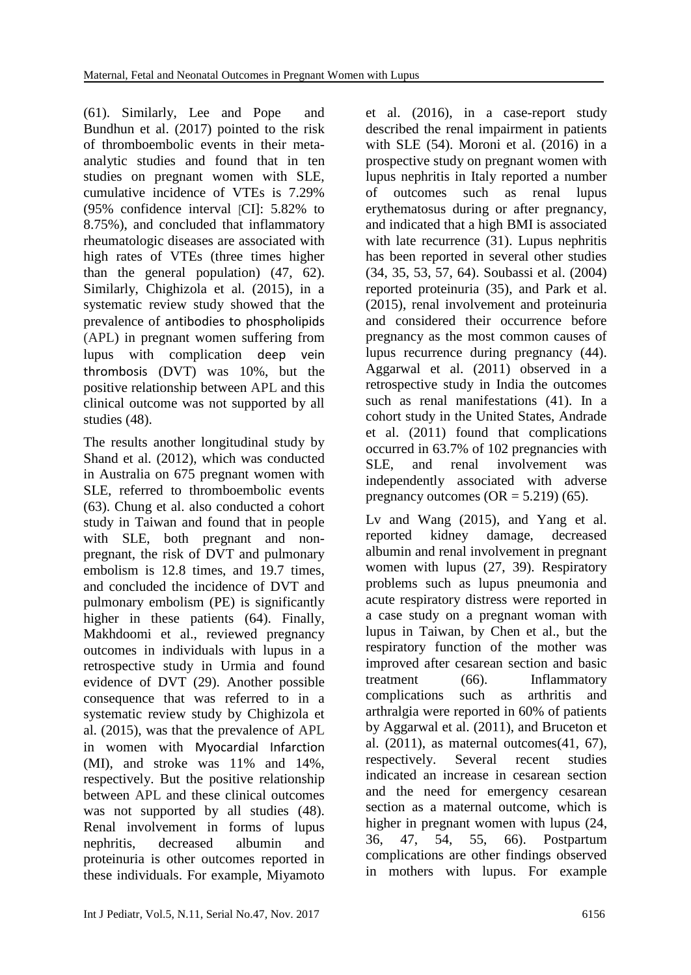(61). Similarly, Lee and Pope and Bundhun et al. (2017) pointed to the risk of thromboembolic events in their metaanalytic studies and found that in ten studies on pregnant women with SLE, cumulative incidence of VTEs is 7.29% (95% confidence interval [CI]: 5.82% to 8.75%), and concluded that inflammatory rheumatologic diseases are associated with high rates of VTEs (three times higher than the general population) (47, 62). Similarly, Chighizola et al. (2015), in a systematic review study showed that the prevalence of antibodies to phospholipids (APL) in pregnant women suffering from lupus with complication deep vein thrombosis (DVT) was 10%, but the positive relationship between APL and this clinical outcome was not supported by all studies (48).

The results another longitudinal study by Shand et al. (2012), which was conducted in Australia on 675 pregnant women with SLE, referred to thromboembolic events (63). Chung et al. also conducted a cohort study in Taiwan and found that in people with SLE, both pregnant and nonpregnant, the risk of DVT and pulmonary embolism is 12.8 times, and 19.7 times, and concluded the incidence of DVT and pulmonary embolism (PE) is significantly higher in these patients (64). Finally, Makhdoomi et al., reviewed pregnancy outcomes in individuals with lupus in a retrospective study in Urmia and found evidence of DVT (29). Another possible consequence that was referred to in a systematic review study by Chighizola et al. (2015), was that the prevalence of APL in women with Myocardial Infarction (MI), and stroke was 11% and 14%, respectively. But the positive relationship between APL and these clinical outcomes was not supported by all studies (48). Renal involvement in forms of lupus nephritis, decreased albumin and proteinuria is other outcomes reported in these individuals. For example, Miyamoto

et al. (2016), in a case-report study described the renal impairment in patients with SLE (54). Moroni et al. (2016) in a prospective study on pregnant women with lupus nephritis in Italy reported a number of outcomes such as renal lupus erythematosus during or after pregnancy, and indicated that a high BMI is associated with late recurrence (31). Lupus nephritis has been reported in several other studies (34, 35, 53, 57, 64). Soubassi et al. (2004) reported proteinuria (35), and Park et al. (2015), renal involvement and proteinuria and considered their occurrence before pregnancy as the most common causes of lupus recurrence during pregnancy (44). Aggarwal et al. (2011) observed in a retrospective study in India the outcomes such as renal manifestations (41). In a cohort study in the United States, Andrade et al. (2011) found that complications occurred in 63.7% of 102 pregnancies with<br>SLE, and renal involvement was SLE, and renal involvement was independently associated with adverse pregnancy outcomes  $(OR = 5.219)$  (65).

Lv and Wang (2015), and Yang et al. reported kidney damage, decreased albumin and renal involvement in pregnant women with lupus (27, 39). Respiratory problems such as lupus pneumonia and acute respiratory distress were reported in a case study on a pregnant woman with lupus in Taiwan, by Chen et al., but the respiratory function of the mother was improved after cesarean section and basic treatment (66). Inflammatory complications such as arthritis and arthralgia were reported in 60% of patients by Aggarwal et al. (2011), and Bruceton et al. (2011), as maternal outcomes(41, 67), respectively. Several recent studies indicated an increase in cesarean section and the need for emergency cesarean section as a maternal outcome, which is higher in pregnant women with lupus (24, 36, 47, 54, 55, 66). Postpartum complications are other findings observed in mothers with lupus. For example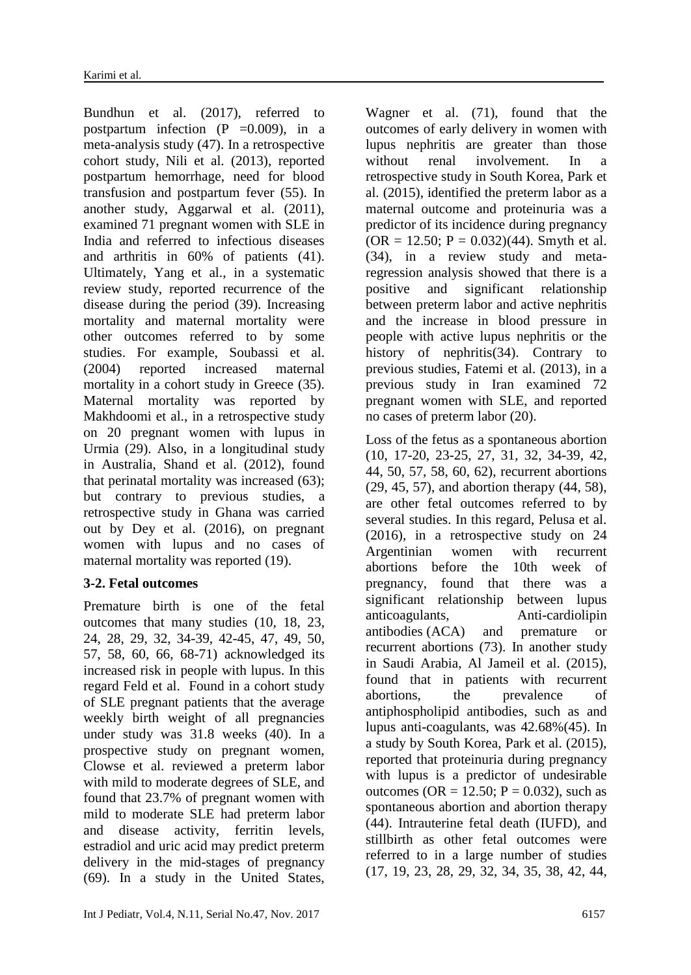Bundhun et al. (2017), referred to postpartum infection  $(P = 0.009)$ , in a meta-analysis study (47). In a retrospective cohort study, Nili et al. (2013), reported postpartum hemorrhage, need for blood transfusion and postpartum fever (55). In another study, Aggarwal et al. (2011), examined 71 pregnant women with SLE in India and referred to infectious diseases and arthritis in 60% of patients (41). Ultimately, Yang et al., in a systematic review study, reported recurrence of the disease during the period (39). Increasing mortality and maternal mortality were other outcomes referred to by some studies. For example, Soubassi et al. (2004) reported increased maternal mortality in a cohort study in Greece (35). Maternal mortality was reported by Makhdoomi et al., in a retrospective study on 20 pregnant women with lupus in Urmia (29). Also, in a longitudinal study in Australia, Shand et al. (2012), found that perinatal mortality was increased (63); but contrary to previous studies, a retrospective study in Ghana was carried out by Dey et al. (2016), on pregnant women with lupus and no cases of maternal mortality was reported (19).

## **3-2. Fetal outcomes**

Premature birth is one of the fetal outcomes that many studies (10, 18, 23, 24, 28, 29, 32, 34-39, 42-45, 47, 49, 50, 57, 58, 60, 66, 68-71) acknowledged its increased risk in people with lupus. In this regard Feld et al. Found in a cohort study of SLE pregnant patients that the average weekly birth weight of all pregnancies under study was 31.8 weeks (40). In a prospective study on pregnant women, Clowse et al. reviewed a preterm labor with mild to moderate degrees of SLE, and found that 23.7% of pregnant women with mild to moderate SLE had preterm labor and disease activity, ferritin levels, estradiol and uric acid may predict preterm delivery in the mid-stages of pregnancy (69). In a study in the United States,

Wagner et al. (71), found that the outcomes of early delivery in women with lupus nephritis are greater than those without renal involvement. In a retrospective study in South Korea, Park et al. (2015), identified the preterm labor as a maternal outcome and proteinuria was a predictor of its incidence during pregnancy  $(OR = 12.50; P = 0.032)(44)$ . Smyth et al. (34), in a review study and metaregression analysis showed that there is a positive and significant relationship between preterm labor and active nephritis and the increase in blood pressure in people with active lupus nephritis or the history of nephritis(34). Contrary to previous studies, Fatemi et al. (2013), in a previous study in Iran examined 72 pregnant women with SLE, and reported no cases of preterm labor (20).

Loss of the fetus as a spontaneous abortion (10, 17-20, 23-25, 27, 31, 32, 34-39, 42, 44, 50, 57, 58, 60, 62), recurrent abortions (29, 45, 57), and abortion therapy (44, 58), are other fetal outcomes referred to by several studies. In this regard, Pelusa et al. (2016), in a retrospective study on 24 Argentinian women with recurrent abortions before the 10th week of pregnancy, found that there was a significant relationship between lupus anticoagulants, Anti-cardiolipin antibodies (ACA) and premature or recurrent abortions (73). In another study in Saudi Arabia, Al Jameil et al. (2015), found that in patients with recurrent abortions, the prevalence of antiphospholipid antibodies, such as and lupus anti-coagulants, was 42.68%(45). In a study by South Korea, Park et al. (2015), reported that proteinuria during pregnancy with lupus is a predictor of undesirable outcomes (OR = 12.50;  $P = 0.032$ ), such as spontaneous abortion and abortion therapy (44). Intrauterine fetal death (IUFD), and stillbirth as other fetal outcomes were referred to in a large number of studies (17, 19, 23, 28, 29, 32, 34, 35, 38, 42, 44,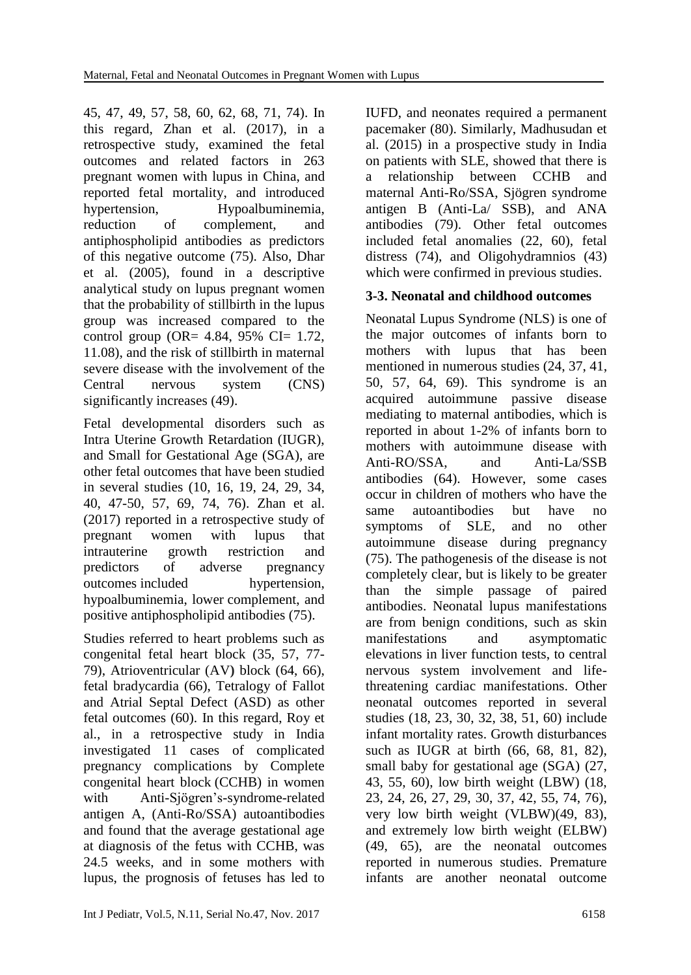45, 47, 49, 57, 58, 60, 62, 68, 71, 74). In this regard, Zhan et al. (2017), in a retrospective study, examined the fetal outcomes and related factors in 263 pregnant women with lupus in China, and reported fetal mortality, and introduced hypertension, Hypoalbuminemia, reduction of complement, and antiphospholipid antibodies as predictors of this negative outcome (75). Also, Dhar et al. (2005), found in a descriptive analytical study on lupus pregnant women that the probability of stillbirth in the lupus group was increased compared to the control group (OR=  $4.84, 95\%$  CI= 1.72, 11.08), and the risk of stillbirth in maternal severe disease with the involvement of the Central nervous system (CNS) significantly increases (49).

Fetal developmental disorders such as Intra Uterine Growth Retardation (IUGR), and Small for Gestational Age (SGA), are other fetal outcomes that have been studied in several studies (10, 16, 19, 24, 29, 34, 40, 47-50, 57, 69, 74, 76). Zhan et al. (2017) reported in a retrospective study of pregnant women with lupus that intrauterine growth restriction and predictors of adverse pregnancy outcomes included hypertension, hypoalbuminemia, lower complement, and positive antiphospholipid antibodies (75).

Studies referred to heart problems such as congenital fetal heart block (35, 57, 77- 79), Atrioventricular (AV**)** block (64, 66), fetal bradycardia (66), Tetralogy of Fallot and Atrial Septal Defect (ASD) as other fetal outcomes (60). In this regard, Roy et al., in a retrospective study in India investigated 11 cases of complicated pregnancy complications by Complete congenital heart block (CCHB) in women with Anti-Sjögren's-syndrome-related antigen A, (Anti-Ro/SSA) autoantibodies and found that the average gestational age at diagnosis of the fetus with CCHB, was 24.5 weeks, and in some mothers with lupus, the prognosis of fetuses has led to IUFD, and neonates required a permanent pacemaker (80). Similarly, Madhusudan et al. (2015) in a prospective study in India on patients with SLE, showed that there is a relationship between CCHB and maternal Anti-Ro/SSA, Sjögren syndrome antigen B (Anti-La/ SSB), and ANA antibodies (79). Other fetal outcomes included fetal anomalies (22, 60), fetal distress (74), and Oligohydramnios (43) which were confirmed in previous studies.

# **3-3. Neonatal and childhood outcomes**

Neonatal Lupus Syndrome (NLS) is one of the major outcomes of infants born to mothers with lupus that has been mentioned in numerous studies (24, 37, 41, 50, 57, 64, 69). This syndrome is an acquired autoimmune passive disease mediating to maternal antibodies, which is reported in about 1-2% of infants born to mothers with autoimmune disease with Anti-RO/SSA, and Anti-La/SSB antibodies (64). However, some cases occur in children of mothers who have the same autoantibodies but have no symptoms of SLE, and no other autoimmune disease during pregnancy (75). The pathogenesis of the disease is not completely clear, but is likely to be greater than the simple passage of paired antibodies. Neonatal lupus manifestations are from benign conditions, such as skin manifestations and asymptomatic elevations in liver function tests, to central nervous system involvement and lifethreatening cardiac manifestations. Other neonatal outcomes reported in several studies (18, 23, 30, 32, 38, 51, 60) include infant mortality rates. Growth disturbances such as IUGR at birth (66, 68, 81, 82), small baby for gestational age (SGA) (27, 43, 55, 60), low birth weight (LBW) (18, 23, 24, 26, 27, 29, 30, 37, 42, 55, 74, 76), very low birth weight (VLBW)(49, 83), and extremely low birth weight (ELBW) (49, 65), are the neonatal outcomes reported in numerous studies. Premature infants are another neonatal outcome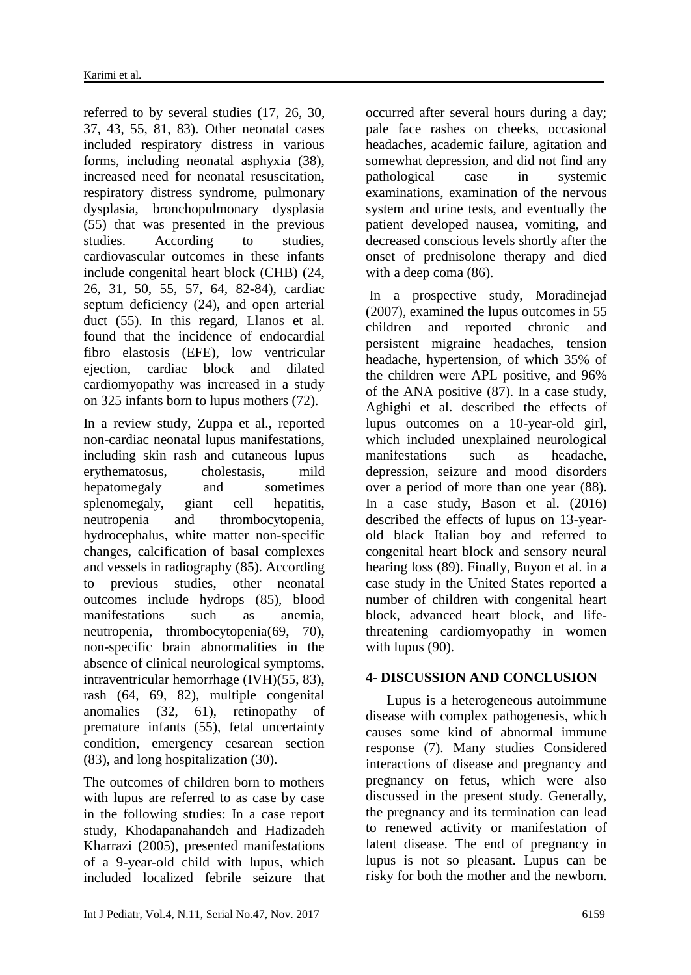referred to by several studies (17, 26, 30, 37, 43, 55, 81, 83). Other neonatal cases included respiratory distress in various forms, including neonatal asphyxia (38), increased need for neonatal resuscitation, respiratory distress syndrome, pulmonary dysplasia, bronchopulmonary dysplasia (55) that was presented in the previous studies. According to studies, cardiovascular outcomes in these infants include congenital heart block (CHB) (24, 26, 31, 50, 55, 57, 64, 82-84), cardiac septum deficiency (24), and open arterial duct (55). In this regard, Llanos et al. found that the incidence of endocardial fibro elastosis (EFE), low ventricular ejection, cardiac block and dilated cardiomyopathy was increased in a study on 325 infants born to lupus mothers (72).

In a review study, Zuppa et al., reported non-cardiac neonatal lupus manifestations, including skin rash and cutaneous lupus erythematosus, cholestasis, mild hepatomegaly and sometimes splenomegaly, giant cell hepatitis, neutropenia and thrombocytopenia, hydrocephalus, white matter non-specific changes, calcification of basal complexes and vessels in radiography (85). According to previous studies, other neonatal outcomes include hydrops (85), blood manifestations such as anemia, neutropenia, thrombocytopenia(69, 70), non-specific brain abnormalities in the absence of clinical neurological symptoms, intraventricular hemorrhage (IVH)(55, 83), rash (64, 69, 82), multiple congenital anomalies (32, 61), retinopathy of premature infants (55), fetal uncertainty condition, emergency cesarean section (83), and long hospitalization (30).

The outcomes of children born to mothers with lupus are referred to as case by case in the following studies: In a case report study, Khodapanahandeh and Hadizadeh Kharrazi (2005), presented manifestations of a 9-year-old child with lupus, which included localized febrile seizure that

occurred after several hours during a day; pale face rashes on cheeks, occasional headaches, academic failure, agitation and somewhat depression, and did not find any pathological case in systemic examinations, examination of the nervous system and urine tests, and eventually the patient developed nausea, vomiting, and decreased conscious levels shortly after the onset of prednisolone therapy and died with a deep coma (86).

In a prospective study, Moradinejad (2007), examined the lupus outcomes in 55 children and reported chronic and persistent migraine headaches, tension headache, hypertension, of which 35% of the children were APL positive, and 96% of the ANA positive (87). In a case study, Aghighi et al. described the effects of lupus outcomes on a 10-year-old girl, which included unexplained neurological manifestations such as headache, depression, seizure and mood disorders over a period of more than one year (88). In a case study, Bason et al. (2016) described the effects of lupus on 13-yearold black Italian boy and referred to congenital heart block and sensory neural hearing loss (89). Finally, Buyon et al. in a case study in the United States reported a number of children with congenital heart block, advanced heart block, and lifethreatening cardiomyopathy in women with lupus (90).

## **4- DISCUSSION AND CONCLUSION**

 Lupus is a heterogeneous autoimmune disease with complex pathogenesis, which causes some kind of abnormal immune response (7). Many studies Considered interactions of disease and pregnancy and pregnancy on fetus, which were also discussed in the present study. Generally, the pregnancy and its termination can lead to renewed activity or manifestation of latent disease. The end of pregnancy in lupus is not so pleasant. Lupus can be risky for both the mother and the newborn.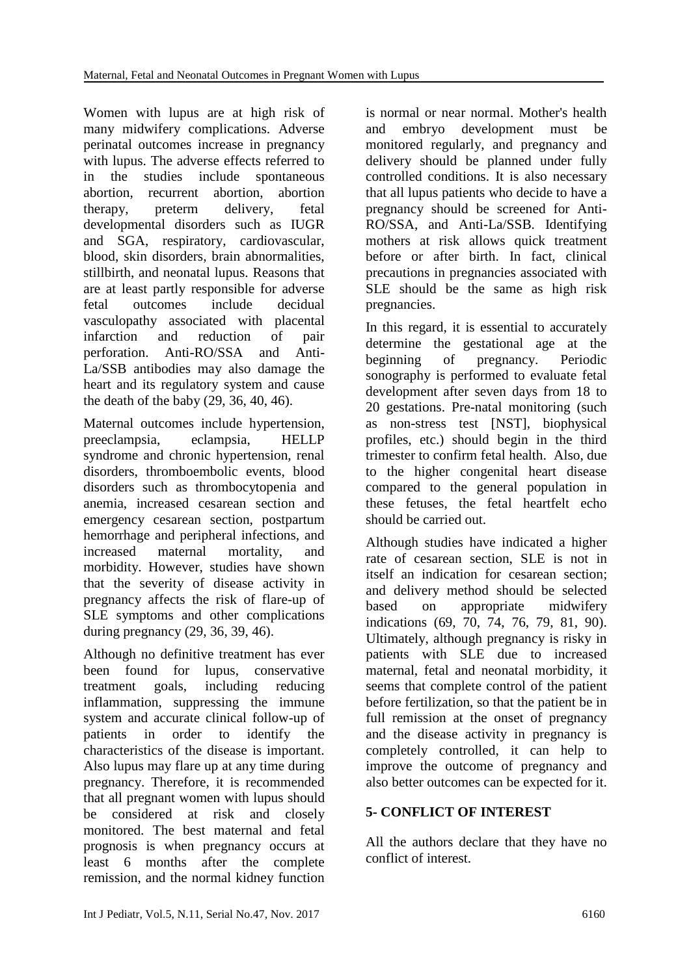Women with lupus are at high risk of many midwifery complications. Adverse perinatal outcomes increase in pregnancy with lupus. The adverse effects referred to in the studies include spontaneous abortion, recurrent abortion, abortion therapy, preterm delivery, fetal developmental disorders such as IUGR and SGA, respiratory, cardiovascular, blood, skin disorders, brain abnormalities, stillbirth, and neonatal lupus. Reasons that are at least partly responsible for adverse fetal outcomes include decidual vasculopathy associated with placental infarction and reduction of pair perforation. Anti-RO/SSA and Anti-La/SSB antibodies may also damage the heart and its regulatory system and cause the death of the baby (29, 36, 40, 46).

Maternal outcomes include hypertension, preeclampsia, eclampsia, HELLP syndrome and chronic hypertension, renal disorders, thromboembolic events, blood disorders such as thrombocytopenia and anemia, increased cesarean section and emergency cesarean section, postpartum hemorrhage and peripheral infections, and increased maternal mortality, and morbidity. However, studies have shown that the severity of disease activity in pregnancy affects the risk of flare-up of SLE symptoms and other complications during pregnancy (29, 36, 39, 46).

Although no definitive treatment has ever been found for lupus, conservative treatment goals, including reducing inflammation, suppressing the immune system and accurate clinical follow-up of patients in order to identify the characteristics of the disease is important. Also lupus may flare up at any time during pregnancy. Therefore, it is recommended that all pregnant women with lupus should be considered at risk and closely monitored. The best maternal and fetal prognosis is when pregnancy occurs at least 6 months after the complete remission, and the normal kidney function is normal or near normal. Mother's health and embryo development must be monitored regularly, and pregnancy and delivery should be planned under fully controlled conditions. It is also necessary that all lupus patients who decide to have a pregnancy should be screened for Anti-RO/SSA, and Anti-La/SSB. Identifying mothers at risk allows quick treatment before or after birth. In fact, clinical precautions in pregnancies associated with SLE should be the same as high risk pregnancies.

In this regard, it is essential to accurately determine the gestational age at the beginning of pregnancy. Periodic sonography is performed to evaluate fetal development after seven days from 18 to 20 gestations. Pre-natal monitoring (such as non-stress test [NST], biophysical profiles, etc.) should begin in the third trimester to confirm fetal health. Also, due to the higher congenital heart disease compared to the general population in these fetuses, the fetal heartfelt echo should be carried out.

Although studies have indicated a higher rate of cesarean section, SLE is not in itself an indication for cesarean section; and delivery method should be selected based on appropriate midwifery indications (69, 70, 74, 76, 79, 81, 90). Ultimately, although pregnancy is risky in patients with SLE due to increased maternal, fetal and neonatal morbidity, it seems that complete control of the patient before fertilization, so that the patient be in full remission at the onset of pregnancy and the disease activity in pregnancy is completely controlled, it can help to improve the outcome of pregnancy and also better outcomes can be expected for it.

# **5- CONFLICT OF INTEREST**

All the authors declare that they have no conflict of interest.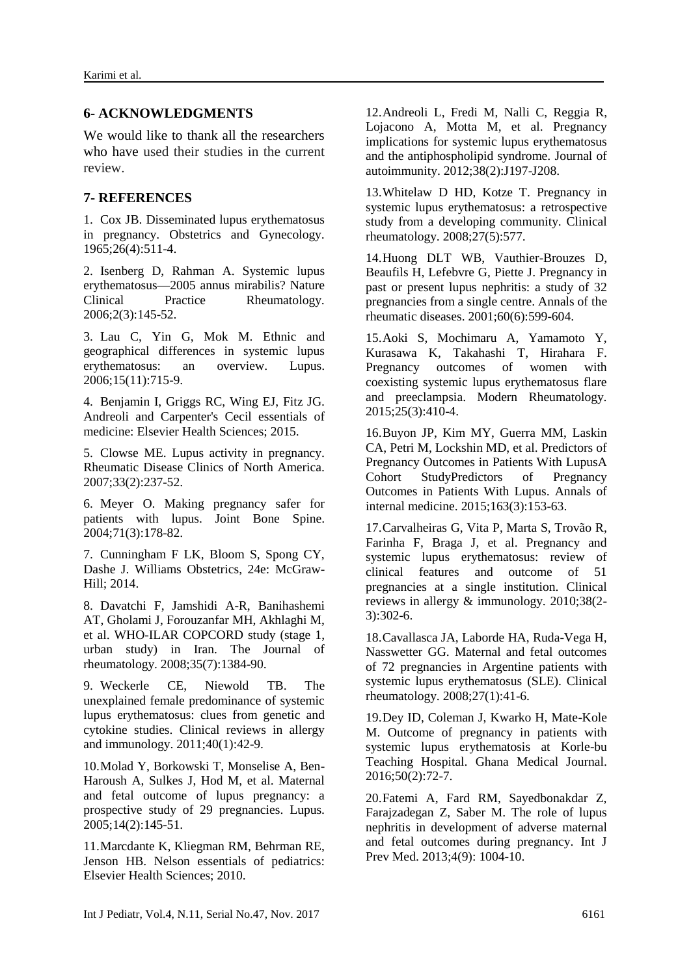#### **6- ACKNOWLEDGMENTS**

We would like to thank all the researchers who have used their studies in the current review.

#### **7- REFERENCES**

1. Cox JB. Disseminated lupus erythematosus in pregnancy. Obstetrics and Gynecology. 1965;26(4):511-4.

2. Isenberg D, Rahman A. Systemic lupus erythematosus—2005 annus mirabilis? Nature Clinical Practice Rheumatology. 2006;2(3):145-52.

3. Lau C, Yin G, Mok M. Ethnic and geographical differences in systemic lupus erythematosus: an overview. Lupus. 2006;15(11):715-9.

4. Benjamin I, Griggs RC, Wing EJ, Fitz JG. Andreoli and Carpenter's Cecil essentials of medicine: Elsevier Health Sciences; 2015.

5. Clowse ME. Lupus activity in pregnancy. Rheumatic Disease Clinics of North America. 2007;33(2):237-52.

6. Meyer O. Making pregnancy safer for patients with lupus. Joint Bone Spine. 2004;71(3):178-82.

7. Cunningham F LK, Bloom S, Spong CY, Dashe J. Williams Obstetrics, 24e: McGraw-Hill; 2014.

8. Davatchi F, Jamshidi A-R, Banihashemi AT, Gholami J, Forouzanfar MH, Akhlaghi M, et al. WHO-ILAR COPCORD study (stage 1, urban study) in Iran. The Journal of rheumatology. 2008;35(7):1384-90.

9. Weckerle CE, Niewold TB. The unexplained female predominance of systemic lupus erythematosus: clues from genetic and cytokine studies. Clinical reviews in allergy and immunology. 2011;40(1):42-9.

10.Molad Y, Borkowski T, Monselise A, Ben-Haroush A, Sulkes J, Hod M, et al. Maternal and fetal outcome of lupus pregnancy: a prospective study of 29 pregnancies. Lupus. 2005;14(2):145-51.

11.Marcdante K, Kliegman RM, Behrman RE, Jenson HB. Nelson essentials of pediatrics: Elsevier Health Sciences; 2010.

12.Andreoli L, Fredi M, Nalli C, Reggia R, Lojacono A, Motta M, et al. Pregnancy implications for systemic lupus erythematosus and the antiphospholipid syndrome. Journal of autoimmunity. 2012;38(2):J197-J208.

13.Whitelaw D HD, Kotze T. Pregnancy in systemic lupus erythematosus: a retrospective study from a developing community. Clinical rheumatology. 2008;27(5):577.

14.Huong DLT WB, Vauthier-Brouzes D, Beaufils H, Lefebvre G, Piette J. Pregnancy in past or present lupus nephritis: a study of 32 pregnancies from a single centre. Annals of the rheumatic diseases. 2001;60(6):599-604.

15.Aoki S, Mochimaru A, Yamamoto Y, Kurasawa K, Takahashi T, Hirahara F. Pregnancy outcomes of women with coexisting systemic lupus erythematosus flare and preeclampsia. Modern Rheumatology. 2015;25(3):410-4.

16.Buyon JP, Kim MY, Guerra MM, Laskin CA, Petri M, Lockshin MD, et al. Predictors of Pregnancy Outcomes in Patients With LupusA Cohort StudyPredictors of Pregnancy Outcomes in Patients With Lupus. Annals of internal medicine. 2015;163(3):153-63.

17.Carvalheiras G, Vita P, Marta S, Trovão R, Farinha F, Braga J, et al. Pregnancy and systemic lupus erythematosus: review of clinical features and outcome of 51 pregnancies at a single institution. Clinical reviews in allergy & immunology. 2010;38(2- 3):302-6.

18.Cavallasca JA, Laborde HA, Ruda-Vega H, Nasswetter GG. Maternal and fetal outcomes of 72 pregnancies in Argentine patients with systemic lupus erythematosus (SLE). Clinical rheumatology. 2008;27(1):41-6.

19.Dey ID, Coleman J, Kwarko H, Mate-Kole M. Outcome of pregnancy in patients with systemic lupus erythematosis at Korle-bu Teaching Hospital. Ghana Medical Journal. 2016;50(2):72-7.

20.Fatemi A, Fard RM, Sayedbonakdar Z, Farajzadegan Z, Saber M. The role of lupus nephritis in development of adverse maternal and fetal outcomes during pregnancy. Int J Prev Med. 2013;4(9): 1004-10.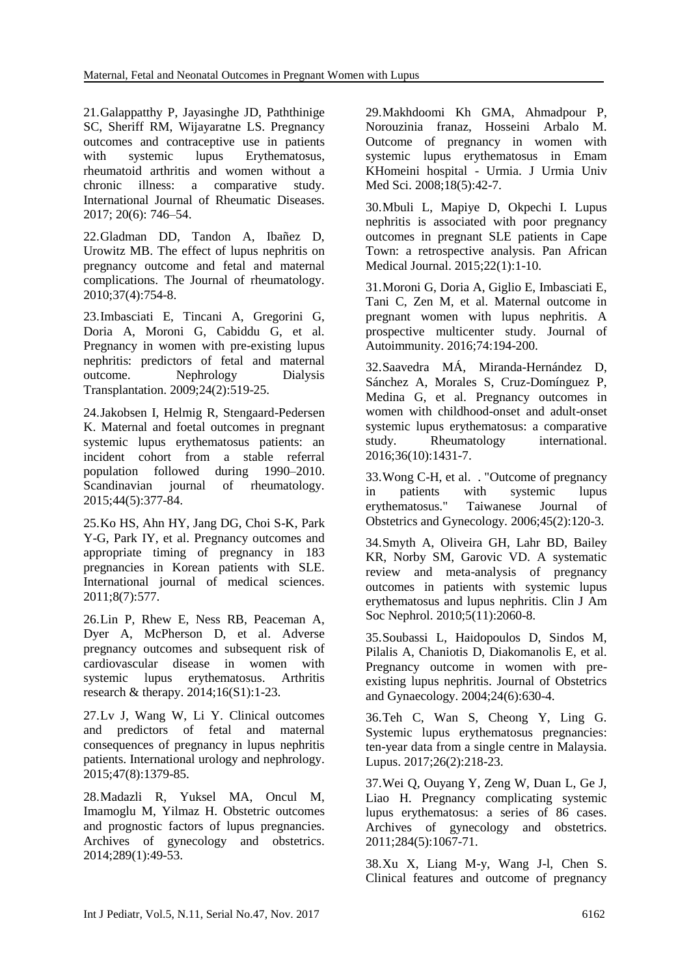21.Galappatthy P, Jayasinghe JD, Paththinige SC, Sheriff RM, Wijayaratne LS. Pregnancy outcomes and contraceptive use in patients with systemic lupus Erythematosus, rheumatoid arthritis and women without a chronic illness: a comparative study. International Journal of Rheumatic Diseases. 2017; 20(6): 746–54.

22.Gladman DD, Tandon A, Ibañez D, Urowitz MB. The effect of lupus nephritis on pregnancy outcome and fetal and maternal complications. The Journal of rheumatology. 2010;37(4):754-8.

23.Imbasciati E, Tincani A, Gregorini G, Doria A, Moroni G, Cabiddu G, et al. Pregnancy in women with pre-existing lupus nephritis: predictors of fetal and maternal outcome. Nephrology Dialysis Transplantation. 2009;24(2):519-25.

24.Jakobsen I, Helmig R, Stengaard-Pedersen K. Maternal and foetal outcomes in pregnant systemic lupus erythematosus patients: an incident cohort from a stable referral population followed during 1990–2010. Scandinavian journal of rheumatology. 2015;44(5):377-84.

25.Ko HS, Ahn HY, Jang DG, Choi S-K, Park Y-G, Park IY, et al. Pregnancy outcomes and appropriate timing of pregnancy in 183 pregnancies in Korean patients with SLE. International journal of medical sciences. 2011;8(7):577.

26.Lin P, Rhew E, Ness RB, Peaceman A, Dyer A, McPherson D, et al. Adverse pregnancy outcomes and subsequent risk of cardiovascular disease in women with systemic lupus erythematosus. Arthritis research & therapy. 2014;16(S1):1-23.

27.Lv J, Wang W, Li Y. Clinical outcomes and predictors of fetal and maternal consequences of pregnancy in lupus nephritis patients. International urology and nephrology. 2015;47(8):1379-85.

28.Madazli R, Yuksel MA, Oncul M, Imamoglu M, Yilmaz H. Obstetric outcomes and prognostic factors of lupus pregnancies. Archives of gynecology and obstetrics. 2014;289(1):49-53.

29.Makhdoomi Kh GMA, Ahmadpour P, Norouzinia franaz, Hosseini Arbalo M. Outcome of pregnancy in women with systemic lupus erythematosus in Emam KHomeini hospital - Urmia. J Urmia Univ Med Sci. 2008:18(5):42-7.

30.Mbuli L, Mapiye D, Okpechi I. Lupus nephritis is associated with poor pregnancy outcomes in pregnant SLE patients in Cape Town: a retrospective analysis. Pan African Medical Journal. 2015;22(1):1-10.

31.Moroni G, Doria A, Giglio E, Imbasciati E, Tani C, Zen M, et al. Maternal outcome in pregnant women with lupus nephritis. A prospective multicenter study. Journal of Autoimmunity. 2016;74:194-200.

32.Saavedra MÁ, Miranda-Hernández D, Sánchez A, Morales S, Cruz-Domínguez P, Medina G, et al. Pregnancy outcomes in women with childhood-onset and adult-onset systemic lupus erythematosus: a comparative study. Rheumatology international. 2016;36(10):1431-7.

33.Wong C-H, et al. . "Outcome of pregnancy in patients with systemic lupus erythematosus." Taiwanese Journal of Obstetrics and Gynecology. 2006;45(2):120-3.

34.Smyth A, Oliveira GH, Lahr BD, Bailey KR, Norby SM, Garovic VD. A systematic review and meta-analysis of pregnancy outcomes in patients with systemic lupus erythematosus and lupus nephritis. [Clin J Am](https://www.ncbi.nlm.nih.gov/pubmed/20688887)  [Soc Nephrol.](https://www.ncbi.nlm.nih.gov/pubmed/20688887) 2010;5(11):2060-8.

35.Soubassi L, Haidopoulos D, Sindos M, Pilalis A, Chaniotis D, Diakomanolis E, et al. Pregnancy outcome in women with preexisting lupus nephritis. Journal of Obstetrics and Gynaecology. 2004;24(6):630-4.

36.Teh C, Wan S, Cheong Y, Ling G. Systemic lupus erythematosus pregnancies: ten-year data from a single centre in Malaysia. Lupus. 2017;26(2):218-23.

37.Wei Q, Ouyang Y, Zeng W, Duan L, Ge J, Liao H. Pregnancy complicating systemic lupus erythematosus: a series of 86 cases. Archives of gynecology and obstetrics. 2011;284(5):1067-71.

38.Xu X, Liang M-y, Wang J-l, Chen S. Clinical features and outcome of pregnancy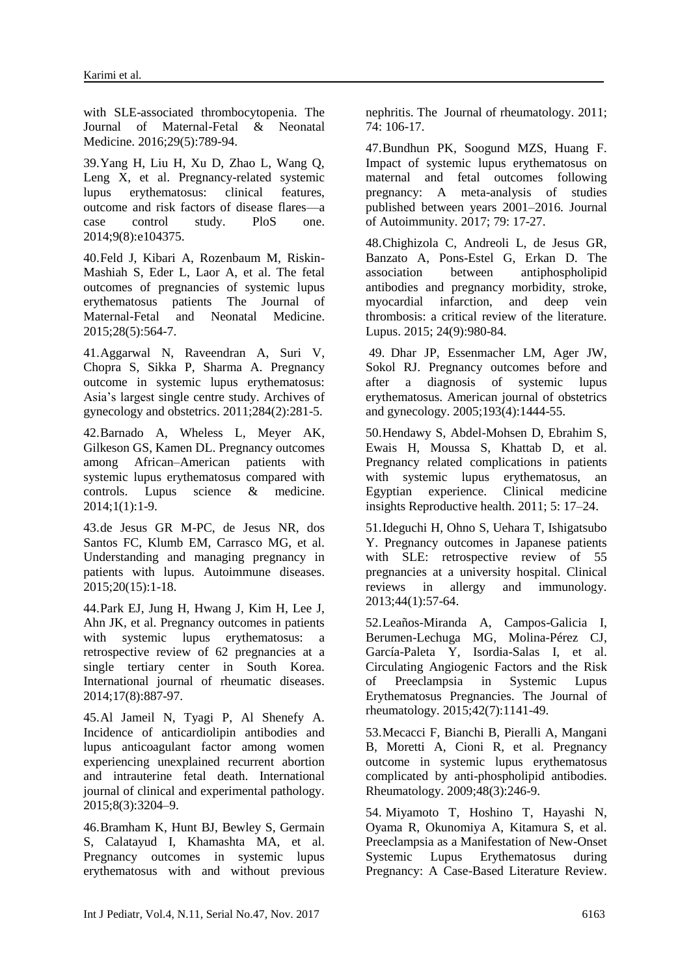with SLE-associated thrombocytopenia. The Journal of Maternal-Fetal & Neonatal Medicine. 2016;29(5):789-94.

39.Yang H, Liu H, Xu D, Zhao L, Wang Q, Leng X, et al. Pregnancy-related systemic lupus erythematosus: clinical features, outcome and risk factors of disease flares—a case control study. PloS one. 2014;9(8):e104375.

40.Feld J, Kibari A, Rozenbaum M, Riskin-Mashiah S, Eder L, Laor A, et al. The fetal outcomes of pregnancies of systemic lupus erythematosus patients The Journal of Maternal-Fetal and Neonatal Medicine. 2015;28(5):564-7.

41.Aggarwal N, Raveendran A, Suri V, Chopra S, Sikka P, Sharma A. Pregnancy outcome in systemic lupus erythematosus: Asia's largest single centre study. Archives of gynecology and obstetrics. 2011;284(2):281-5.

42.Barnado A, Wheless L, Meyer AK, Gilkeson GS, Kamen DL. Pregnancy outcomes among African–American patients with systemic lupus erythematosus compared with<br>controls. Lupus science & medicine. controls. Lupus science & medicine. 2014;1(1):1-9.

43.de Jesus GR M-PC, de Jesus NR, dos Santos FC, Klumb EM, Carrasco MG, et al. Understanding and managing pregnancy in patients with lupus. Autoimmune diseases. 2015;20(15):1-18.

44.Park EJ, Jung H, Hwang J, Kim H, Lee J, Ahn JK, et al. Pregnancy outcomes in patients with systemic lupus erythematosus: a retrospective review of 62 pregnancies at a single tertiary center in South Korea. International journal of rheumatic diseases. 2014;17(8):887-97.

45.Al Jameil N, Tyagi P, Al Shenefy A. Incidence of anticardiolipin antibodies and lupus anticoagulant factor among women experiencing unexplained recurrent abortion and intrauterine fetal death. International journal of clinical and experimental pathology. 2015;8(3):3204–9.

46.Bramham K, Hunt BJ, Bewley S, Germain S, Calatayud I, Khamashta MA, et al. Pregnancy outcomes in systemic lupus erythematosus with and without previous nephritis. The Journal of rheumatology. 2011; 74: 106-17.

47.Bundhun PK, Soogund MZS, Huang F. Impact of systemic lupus erythematosus on maternal and fetal outcomes following pregnancy: A meta-analysis of studies published between years 2001–2016. Journal of Autoimmunity. 2017; 79: 17-27.

48.Chighizola C, Andreoli L, de Jesus GR, Banzato A, Pons-Estel G, Erkan D. The association between antiphospholipid antibodies and pregnancy morbidity, stroke, myocardial infarction, and deep vein thrombosis: a critical review of the literature. Lupus. 2015; 24(9):980-84.

49. Dhar JP, Essenmacher LM, Ager JW, Sokol RJ. Pregnancy outcomes before and after a diagnosis of systemic lupus erythematosus. American journal of obstetrics and gynecology. 2005;193(4):1444-55.

50.Hendawy S, Abdel-Mohsen D, Ebrahim S, Ewais H, Moussa S, Khattab D, et al. Pregnancy related complications in patients with systemic lupus erythematosus, an Egyptian experience. Clinical medicine insights Reproductive health. 2011; 5: 17–24.

51.Ideguchi H, Ohno S, Uehara T, Ishigatsubo Y. Pregnancy outcomes in Japanese patients with SLE: retrospective review of 55 pregnancies at a university hospital. Clinical reviews in allergy and immunology. 2013;44(1):57-64.

52.Leaños-Miranda A, Campos-Galicia I, Berumen-Lechuga MG, Molina-Pérez CJ, García-Paleta Y, Isordia-Salas I, et al. Circulating Angiogenic Factors and the Risk of Preeclampsia in Systemic Lupus Erythematosus Pregnancies. The Journal of rheumatology. 2015;42(7):1141-49.

53.Mecacci F, Bianchi B, Pieralli A, Mangani B, Moretti A, Cioni R, et al. Pregnancy outcome in systemic lupus erythematosus complicated by anti-phospholipid antibodies. Rheumatology. 2009;48(3):246-9.

54. Miyamoto T, Hoshino T, Hayashi N, Oyama R, Okunomiya A, Kitamura S, et al. Preeclampsia as a Manifestation of New-Onset Systemic Lupus Erythematosus during Pregnancy: A Case-Based Literature Review.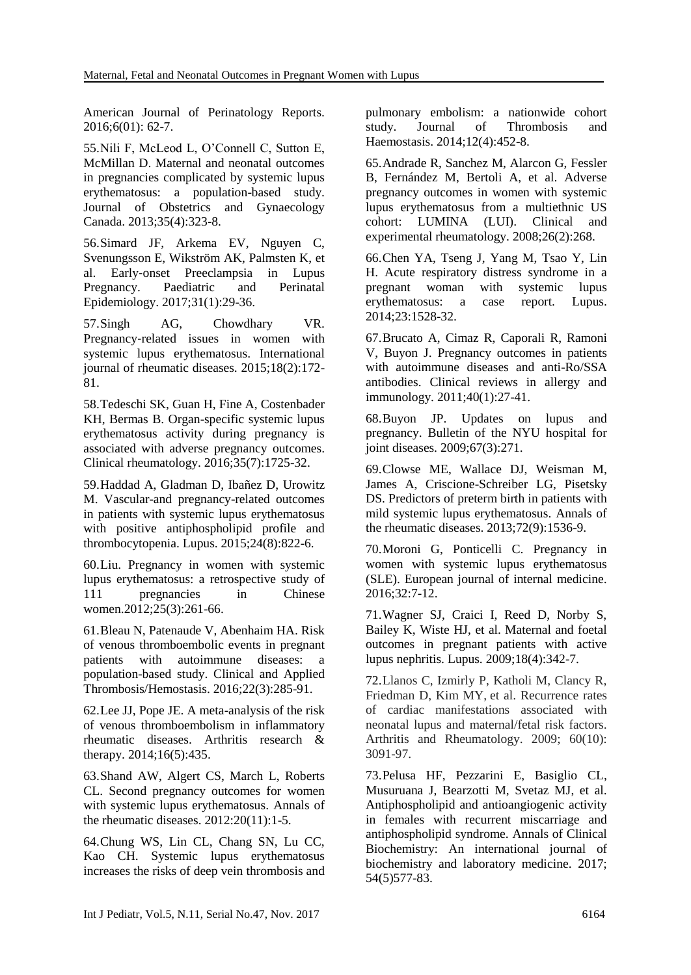American Journal of Perinatology Reports. 2016;6(01): 62-7.

55.Nili F, McLeod L, O'Connell C, Sutton E, McMillan D. Maternal and neonatal outcomes in pregnancies complicated by systemic lupus erythematosus: a population-based study. Journal of Obstetrics and Gynaecology Canada. 2013;35(4):323-8.

56.Simard JF, Arkema EV, Nguyen C, Svenungsson E, Wikström AK, Palmsten K, et al. Early‐onset Preeclampsia in Lupus Pregnancy. Paediatric and Perinatal Epidemiology. 2017;31(1):29-36.

57.Singh AG, Chowdhary VR. Pregnancy-related issues in women with systemic lupus erythematosus. International journal of rheumatic diseases. 2015;18(2):172- 81.

58.Tedeschi SK, Guan H, Fine A, Costenbader KH, Bermas B. Organ-specific systemic lupus erythematosus activity during pregnancy is associated with adverse pregnancy outcomes. Clinical rheumatology. 2016;35(7):1725-32.

59.Haddad A, Gladman D, Ibañez D, Urowitz M. Vascular-and pregnancy-related outcomes in patients with systemic lupus erythematosus with positive antiphospholipid profile and thrombocytopenia. Lupus. 2015;24(8):822-6.

60.Liu. Pregnancy in women with systemic lupus erythematosus: a retrospective study of 111 pregnancies in Chinese women.2012;25(3):261-66.

61.Bleau N, Patenaude V, Abenhaim HA. Risk of venous thromboembolic events in pregnant patients with autoimmune diseases: a population-based study. Clinical and Applied Thrombosis/Hemostasis. 2016;22(3):285-91.

62.Lee JJ, Pope JE. A meta-analysis of the risk of venous thromboembolism in inflammatory rheumatic diseases. Arthritis research & therapy. 2014;16(5):435.

63.Shand AW, Algert CS, March L, Roberts CL. Second pregnancy outcomes for women with systemic lupus erythematosus. Annals of the rheumatic diseases. 2012:20(11):1-5.

64.Chung WS, Lin CL, Chang SN, Lu CC, Kao CH. Systemic lupus erythematosus increases the risks of deep vein thrombosis and

pulmonary embolism: a nationwide cohort study. Journal of Thrombosis and Haemostasis. 2014;12(4):452-8.

65.Andrade R, Sanchez M, Alarcon G, Fessler B, Fernández M, Bertoli A, et al. Adverse pregnancy outcomes in women with systemic lupus erythematosus from a multiethnic US cohort: LUMINA (LUI). Clinical and experimental rheumatology. 2008;26(2):268.

66.Chen YA, Tseng J, Yang M, Tsao Y, Lin H. Acute respiratory distress syndrome in a pregnant woman with systemic lupus erythematosus: a case report. Lupus. 2014;23:1528-32.

67.Brucato A, Cimaz R, Caporali R, Ramoni V, Buyon J. Pregnancy outcomes in patients with autoimmune diseases and anti-Ro/SSA antibodies. Clinical reviews in allergy and immunology. 2011;40(1):27-41.

68.Buyon JP. Updates on lupus and pregnancy. Bulletin of the NYU hospital for joint diseases. 2009;67(3):271.

69.Clowse ME, Wallace DJ, Weisman M, James A, Criscione-Schreiber LG, Pisetsky DS. Predictors of preterm birth in patients with mild systemic lupus erythematosus. Annals of the rheumatic diseases. 2013;72(9):1536-9.

70.Moroni G, Ponticelli C. Pregnancy in women with systemic lupus erythematosus (SLE). European journal of internal medicine. 2016;32:7-12.

71.Wagner SJ, Craici I, Reed D, Norby S, Bailey K, Wiste HJ, et al. Maternal and foetal outcomes in pregnant patients with active lupus nephritis. Lupus. 2009;18(4):342-7.

72.Llanos C, Izmirly P, Katholi M, Clancy R, Friedman D, [Kim MY,](https://www.ncbi.nlm.nih.gov/pubmed/?term=Kim%20MY%5BAuthor%5D&cauthor=true&cauthor_uid=19790064) [et](https://www.ncbi.nlm.nih.gov/pubmed/?term=Buyon%20JP%5BAuthor%5D&cauthor=true&cauthor_uid=19790064) al. Recurrence rates of cardiac manifestations associated with neonatal lupus and maternal/fetal risk factors. Arthritis and Rheumatology. 2009; 60(10): 3091-97.

73.Pelusa HF, Pezzarini E, Basiglio CL, Musuruana J, Bearzotti M, Svetaz MJ, et al. Antiphospholipid and antioangiogenic activity in females with recurrent miscarriage and antiphospholipid syndrome. Annals of Clinical Biochemistry: An international journal of biochemistry and laboratory medicine. 2017; 54(5)577-83.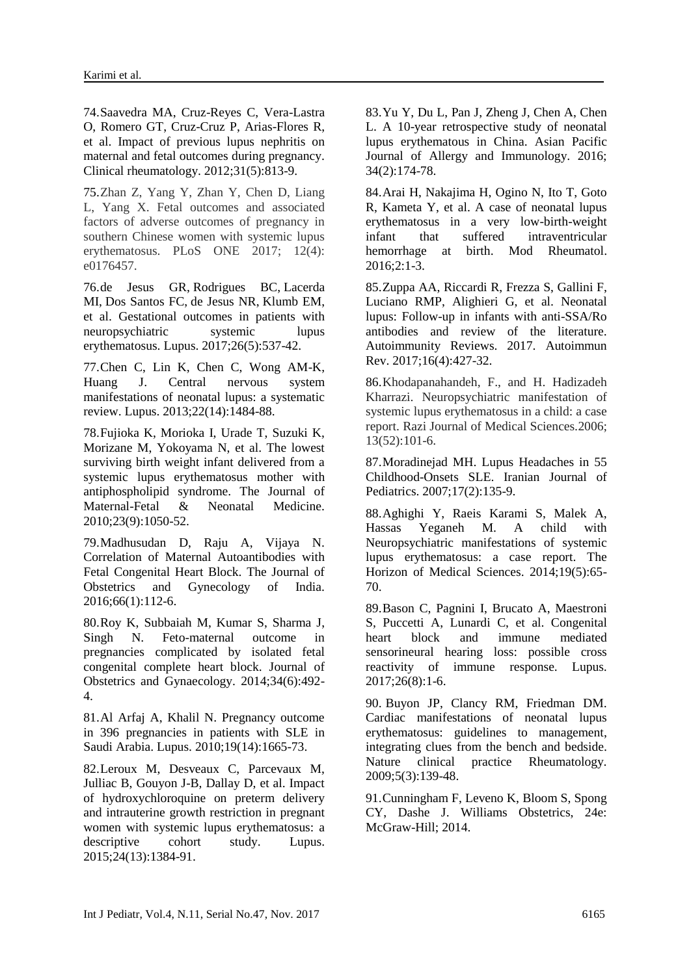74.Saavedra MA, Cruz-Reyes C, Vera-Lastra O, Romero GT, Cruz-Cruz P, Arias-Flores R, et al. Impact of previous lupus nephritis on maternal and fetal outcomes during pregnancy. Clinical rheumatology. 2012;31(5):813-9.

75.Zhan Z, Yang Y, Zhan Y, Chen D, Liang L, Yang X. Fetal outcomes and associated factors of adverse outcomes of pregnancy in southern Chinese women with systemic lupus erythematosus. PLoS ONE 2017; 12(4): e0176457.

76[.de Jesus GR,](https://www.ncbi.nlm.nih.gov/pubmed/?term=de%20Jesus%20GR%5BAuthor%5D&cauthor=true&cauthor_uid=28394223) [Rodrigues BC,](https://www.ncbi.nlm.nih.gov/pubmed/?term=Rodrigues%20BC%5BAuthor%5D&cauthor=true&cauthor_uid=28394223) [Lacerda](https://www.ncbi.nlm.nih.gov/pubmed/?term=Lacerda%20MI%5BAuthor%5D&cauthor=true&cauthor_uid=28394223)  [MI,](https://www.ncbi.nlm.nih.gov/pubmed/?term=Lacerda%20MI%5BAuthor%5D&cauthor=true&cauthor_uid=28394223) [Dos Santos FC,](https://www.ncbi.nlm.nih.gov/pubmed/?term=Dos%20Santos%20FC%5BAuthor%5D&cauthor=true&cauthor_uid=28394223) [de Jesus NR,](https://www.ncbi.nlm.nih.gov/pubmed/?term=de%20Jesus%20NR%5BAuthor%5D&cauthor=true&cauthor_uid=28394223) [Klumb EM,](https://www.ncbi.nlm.nih.gov/pubmed/?term=Klumb%20EM%5BAuthor%5D&cauthor=true&cauthor_uid=28394223) et al. Gestational outcomes in patients with neuropsychiatric systemic lupus erythematosus. [Lupus.](https://www.ncbi.nlm.nih.gov/pubmed/28394223) 2017;26(5):537-42.

77.Chen C, Lin K, Chen C, Wong AM-K, Huang J. Central nervous system manifestations of neonatal lupus: a systematic review. Lupus. 2013;22(14):1484-88.

78.Fujioka K, Morioka I, Urade T, Suzuki K, Morizane M, Yokoyama N, et al. The lowest surviving birth weight infant delivered from a systemic lupus erythematosus mother with antiphospholipid syndrome. The Journal of Maternal-Fetal & Neonatal Medicine. 2010;23(9):1050-52.

79.Madhusudan D, Raju A, Vijaya N. Correlation of Maternal Autoantibodies with Fetal Congenital Heart Block. The Journal of Obstetrics and Gynecology of India. 2016;66(1):112-6.

80.Roy K, Subbaiah M, Kumar S, Sharma J, Singh N. Feto-maternal outcome in pregnancies complicated by isolated fetal congenital complete heart block. Journal of Obstetrics and Gynaecology. 2014;34(6):492- 4.

81.Al Arfaj A, Khalil N. Pregnancy outcome in 396 pregnancies in patients with SLE in Saudi Arabia. Lupus. 2010;19(14):1665-73.

82.Leroux M, Desveaux C, Parcevaux M, Julliac B, Gouyon J-B, Dallay D, et al. Impact of hydroxychloroquine on preterm delivery and intrauterine growth restriction in pregnant women with systemic lupus erythematosus: a descriptive cohort study. Lupus. 2015;24(13):1384-91.

83.Yu Y, Du L, Pan J, Zheng J, Chen A, Chen L. A 10-year retrospective study of neonatal lupus erythematous in China. Asian Pacific Journal of Allergy and Immunology. 2016; 34(2):174-78.

84.Arai H, Nakajima H, Ogino N, Ito T, Goto R, Kameta Y, et al. A case of neonatal lupus erythematosus in a very low-birth-weight infant that suffered intraventricular hemorrhage at birth. [Mod Rheumatol.](https://www.ncbi.nlm.nih.gov/pubmed/26872497) 2016;2:1-3.

85.Zuppa AA, Riccardi R, Frezza S, Gallini F, Luciano RMP, Alighieri G, et al. Neonatal lupus: Follow-up in infants with anti-SSA/Ro antibodies and review of the literature. Autoimmunity Reviews. 2017. [Autoimmun](https://www.ncbi.nlm.nih.gov/pubmed/28212920)  [Rev.](https://www.ncbi.nlm.nih.gov/pubmed/28212920) 2017;16(4):427-32.

86.Khodapanahandeh, F., and H. Hadizadeh Kharrazi. Neuropsychiatric manifestation of systemic lupus erythematosus in a child: a case report. Razi Journal of Medical Sciences*.*2006; 13(52):101-6.

87.Moradinejad MH. Lupus Headaches in 55 Childhood-Onsets SLE. Iranian Journal of Pediatrics. 2007;17(2):135-9.

88.Aghighi Y, Raeis Karami S, Malek A, Hassas Yeganeh M. A child with Neuropsychiatric manifestations of systemic lupus erythematosus: a case report. The Horizon of Medical Sciences. 2014;19(5):65- 70.

89.Bason C, Pagnini I, Brucato A, Maestroni S, Puccetti A, Lunardi C, et al. Congenital heart block and immune mediated sensorineural hearing loss: possible cross reactivity of immune response. Lupus. 2017;26(8):1-6.

90. Buyon JP, Clancy RM, Friedman DM. Cardiac manifestations of neonatal lupus erythematosus: guidelines to management, integrating clues from the bench and bedside. Nature clinical practice Rheumatology. 2009;5(3):139-48.

91.Cunningham F, Leveno K, Bloom S, Spong CY, Dashe J. Williams Obstetrics, 24e: McGraw-Hill; 2014.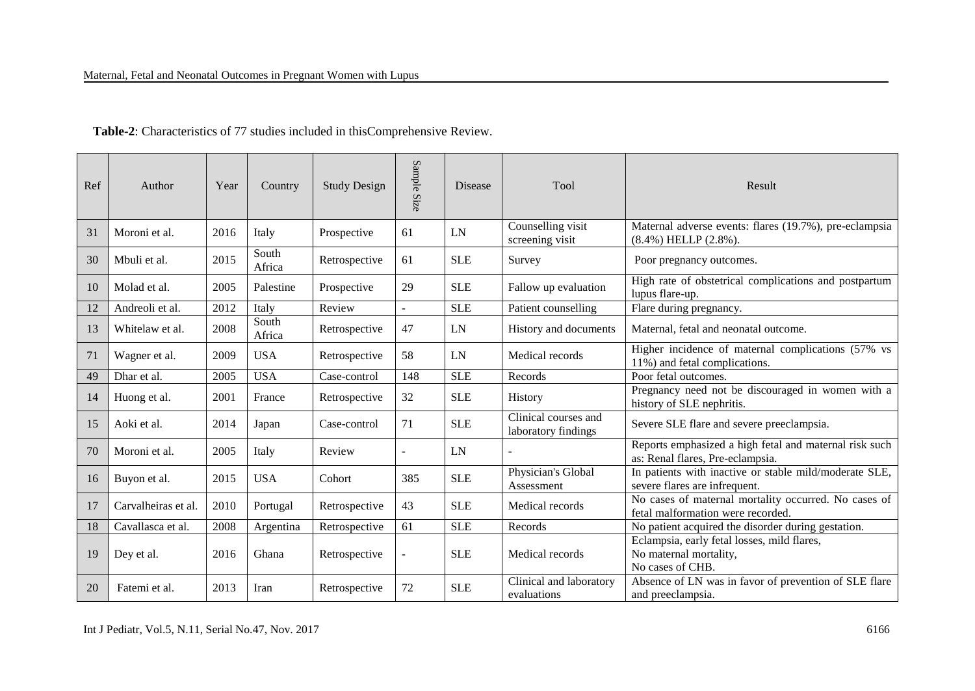| Ref | Author              | Year | Country         | <b>Study Design</b> | Sample Size | <b>Disease</b> | Tool                                        | Result                                                                                     |
|-----|---------------------|------|-----------------|---------------------|-------------|----------------|---------------------------------------------|--------------------------------------------------------------------------------------------|
| 31  | Moroni et al.       | 2016 | Italy           | Prospective         | 61          | LN             | Counselling visit<br>screening visit        | Maternal adverse events: flares (19.7%), pre-eclampsia<br>$(8.4\%)$ HELLP $(2.8\%)$ .      |
| 30  | Mbuli et al.        | 2015 | South<br>Africa | Retrospective       | 61          | <b>SLE</b>     | Survey                                      | Poor pregnancy outcomes.                                                                   |
| 10  | Molad et al.        | 2005 | Palestine       | Prospective         | 29          | <b>SLE</b>     | Fallow up evaluation                        | High rate of obstetrical complications and postpartum<br>lupus flare-up.                   |
| 12  | Andreoli et al.     | 2012 | Italy           | Review              |             | SLE            | Patient counselling                         | Flare during pregnancy.                                                                    |
| 13  | Whitelaw et al.     | 2008 | South<br>Africa | Retrospective       | 47          | LN             | History and documents                       | Maternal, fetal and neonatal outcome.                                                      |
| 71  | Wagner et al.       | 2009 | <b>USA</b>      | Retrospective       | 58          | LN             | Medical records                             | Higher incidence of maternal complications (57% vs<br>11%) and fetal complications.        |
| 49  | Dhar et al.         | 2005 | <b>USA</b>      | Case-control        | 148         | <b>SLE</b>     | Records                                     | Poor fetal outcomes.                                                                       |
| 14  | Huong et al.        | 2001 | France          | Retrospective       | 32          | <b>SLE</b>     | History                                     | Pregnancy need not be discouraged in women with a<br>history of SLE nephritis.             |
| 15  | Aoki et al.         | 2014 | Japan           | Case-control        | 71          | <b>SLE</b>     | Clinical courses and<br>laboratory findings | Severe SLE flare and severe preeclampsia.                                                  |
| 70  | Moroni et al.       | 2005 | Italy           | Review              |             | LN             |                                             | Reports emphasized a high fetal and maternal risk such<br>as: Renal flares, Pre-eclampsia. |
| 16  | Buyon et al.        | 2015 | <b>USA</b>      | Cohort              | 385         | <b>SLE</b>     | Physician's Global<br>Assessment            | In patients with inactive or stable mild/moderate SLE,<br>severe flares are infrequent.    |
| 17  | Carvalheiras et al. | 2010 | Portugal        | Retrospective       | 43          | <b>SLE</b>     | Medical records                             | No cases of maternal mortality occurred. No cases of<br>fetal malformation were recorded.  |
| 18  | Cavallasca et al.   | 2008 | Argentina       | Retrospective       | 61          | <b>SLE</b>     | Records                                     | No patient acquired the disorder during gestation.                                         |
| 19  | Dey et al.          | 2016 | Ghana           | Retrospective       |             | <b>SLE</b>     | Medical records                             | Eclampsia, early fetal losses, mild flares,<br>No maternal mortality,<br>No cases of CHB.  |
| 20  | Fatemi et al.       | 2013 | Iran            | Retrospective       | 72          | <b>SLE</b>     | Clinical and laboratory<br>evaluations      | Absence of LN was in favor of prevention of SLE flare<br>and preeclampsia.                 |

 **Table-2**: Characteristics of 77 studies included in thisComprehensive Review.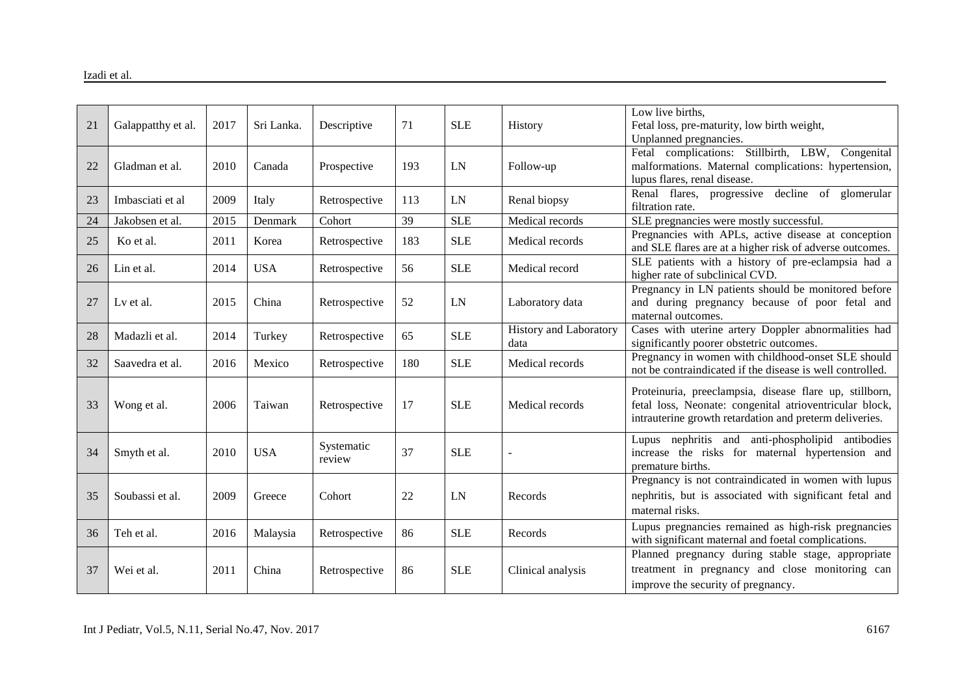| 21 | Galappatthy et al. | 2017 | Sri Lanka. | Descriptive          | 71  | <b>SLE</b> | History                        | Low live births,<br>Fetal loss, pre-maturity, low birth weight,<br>Unplanned pregnancies.                                                                                     |
|----|--------------------|------|------------|----------------------|-----|------------|--------------------------------|-------------------------------------------------------------------------------------------------------------------------------------------------------------------------------|
| 22 | Gladman et al.     | 2010 | Canada     | Prospective          | 193 | LN         | Follow-up                      | Fetal complications: Stillbirth, LBW, Congenital<br>malformations. Maternal complications: hypertension,<br>lupus flares, renal disease.                                      |
| 23 | Imbasciati et al   | 2009 | Italy      | Retrospective        | 113 | LN         | Renal biopsy                   | Renal flares, progressive decline of glomerular<br>filtration rate.                                                                                                           |
| 24 | Jakobsen et al.    | 2015 | Denmark    | Cohort               | 39  | SLE        | Medical records                | SLE pregnancies were mostly successful.                                                                                                                                       |
| 25 | Ko et al.          | 2011 | Korea      | Retrospective        | 183 | <b>SLE</b> | Medical records                | Pregnancies with APLs, active disease at conception<br>and SLE flares are at a higher risk of adverse outcomes.                                                               |
| 26 | Lin et al.         | 2014 | <b>USA</b> | Retrospective        | 56  | <b>SLE</b> | Medical record                 | SLE patients with a history of pre-eclampsia had a<br>higher rate of subclinical CVD.                                                                                         |
| 27 | Ly et al.          | 2015 | China      | Retrospective        | 52  | LN         | Laboratory data                | Pregnancy in LN patients should be monitored before<br>and during pregnancy because of poor fetal and<br>maternal outcomes.                                                   |
| 28 | Madazli et al.     | 2014 | Turkey     | Retrospective        | 65  | <b>SLE</b> | History and Laboratory<br>data | Cases with uterine artery Doppler abnormalities had<br>significantly poorer obstetric outcomes.                                                                               |
| 32 | Saavedra et al.    | 2016 | Mexico     | Retrospective        | 180 | <b>SLE</b> | Medical records                | Pregnancy in women with childhood-onset SLE should<br>not be contraindicated if the disease is well controlled.                                                               |
| 33 | Wong et al.        | 2006 | Taiwan     | Retrospective        | 17  | <b>SLE</b> | Medical records                | Proteinuria, preeclampsia, disease flare up, stillborn,<br>fetal loss, Neonate: congenital atrioventricular block,<br>intrauterine growth retardation and preterm deliveries. |
| 34 | Smyth et al.       | 2010 | <b>USA</b> | Systematic<br>review | 37  | <b>SLE</b> |                                | Lupus nephritis and anti-phospholipid antibodies<br>increase the risks for maternal hypertension and<br>premature births.                                                     |
| 35 | Soubassi et al.    | 2009 | Greece     | Cohort               | 22  | LN         | Records                        | Pregnancy is not contraindicated in women with lupus<br>nephritis, but is associated with significant fetal and<br>maternal risks.                                            |
| 36 | Teh et al.         | 2016 | Malaysia   | Retrospective        | 86  | <b>SLE</b> | Records                        | Lupus pregnancies remained as high-risk pregnancies<br>with significant maternal and foetal complications.                                                                    |
| 37 | Wei et al.         | 2011 | China      | Retrospective        | 86  | <b>SLE</b> | Clinical analysis              | Planned pregnancy during stable stage, appropriate<br>treatment in pregnancy and close monitoring can<br>improve the security of pregnancy.                                   |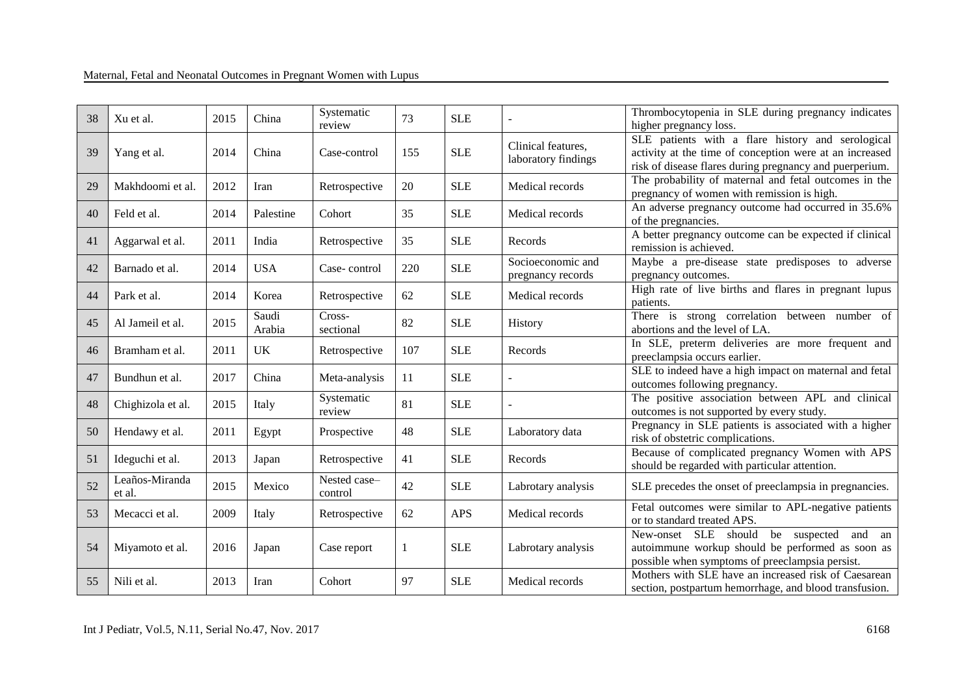| 38 | Xu et al.                | 2015 | China           | Systematic<br>review    | 73  | <b>SLE</b> |                                           | Thrombocytopenia in SLE during pregnancy indicates<br>higher pregnancy loss.                                                                                            |
|----|--------------------------|------|-----------------|-------------------------|-----|------------|-------------------------------------------|-------------------------------------------------------------------------------------------------------------------------------------------------------------------------|
| 39 | Yang et al.              | 2014 | China           | Case-control            | 155 | <b>SLE</b> | Clinical features.<br>laboratory findings | SLE patients with a flare history and serological<br>activity at the time of conception were at an increased<br>risk of disease flares during pregnancy and puerperium. |
| 29 | Makhdoomi et al.         | 2012 | Iran            | Retrospective           | 20  | <b>SLE</b> | Medical records                           | The probability of maternal and fetal outcomes in the<br>pregnancy of women with remission is high.                                                                     |
| 40 | Feld et al.              | 2014 | Palestine       | Cohort                  | 35  | <b>SLE</b> | Medical records                           | An adverse pregnancy outcome had occurred in 35.6%<br>of the pregnancies.                                                                                               |
| 41 | Aggarwal et al.          | 2011 | India           | Retrospective           | 35  | <b>SLE</b> | Records                                   | A better pregnancy outcome can be expected if clinical<br>remission is achieved.                                                                                        |
| 42 | Barnado et al.           | 2014 | <b>USA</b>      | Case-control            | 220 | <b>SLE</b> | Socioeconomic and<br>pregnancy records    | Maybe a pre-disease state predisposes to adverse<br>pregnancy outcomes.                                                                                                 |
| 44 | Park et al.              | 2014 | Korea           | Retrospective           | 62  | <b>SLE</b> | Medical records                           | High rate of live births and flares in pregnant lupus<br>patients.                                                                                                      |
| 45 | Al Jameil et al.         | 2015 | Saudi<br>Arabia | Cross-<br>sectional     | 82  | <b>SLE</b> | History                                   | There is strong correlation between number of<br>abortions and the level of LA.                                                                                         |
| 46 | Bramham et al.           | 2011 | <b>UK</b>       | Retrospective           | 107 | <b>SLE</b> | Records                                   | In SLE, preterm deliveries are more frequent and<br>preeclampsia occurs earlier.                                                                                        |
| 47 | Bundhun et al.           | 2017 | China           | Meta-analysis           | 11  | <b>SLE</b> |                                           | SLE to indeed have a high impact on maternal and fetal<br>outcomes following pregnancy.                                                                                 |
| 48 | Chighizola et al.        | 2015 | Italy           | Systematic<br>review    | 81  | <b>SLE</b> |                                           | The positive association between APL and clinical<br>outcomes is not supported by every study.                                                                          |
| 50 | Hendawy et al.           | 2011 | Egypt           | Prospective             | 48  | <b>SLE</b> | Laboratory data                           | Pregnancy in SLE patients is associated with a higher<br>risk of obstetric complications.                                                                               |
| 51 | Ideguchi et al.          | 2013 | Japan           | Retrospective           | 41  | <b>SLE</b> | Records                                   | Because of complicated pregnancy Women with APS<br>should be regarded with particular attention.                                                                        |
| 52 | Leaños-Miranda<br>et al. | 2015 | Mexico          | Nested case-<br>control | 42  | <b>SLE</b> | Labrotary analysis                        | SLE precedes the onset of preeclampsia in pregnancies.                                                                                                                  |
| 53 | Mecacci et al.           | 2009 | Italy           | Retrospective           | 62  | <b>APS</b> | Medical records                           | Fetal outcomes were similar to APL-negative patients<br>or to standard treated APS.                                                                                     |
| 54 | Miyamoto et al.          | 2016 | Japan           | Case report             | 1   | <b>SLE</b> | Labrotary analysis                        | New-onset SLE should<br>be suspected and an<br>autoimmune workup should be performed as soon as<br>possible when symptoms of preeclampsia persist.                      |
| 55 | Nili et al.              | 2013 | Iran            | Cohort                  | 97  | <b>SLE</b> | Medical records                           | Mothers with SLE have an increased risk of Caesarean<br>section, postpartum hemorrhage, and blood transfusion.                                                          |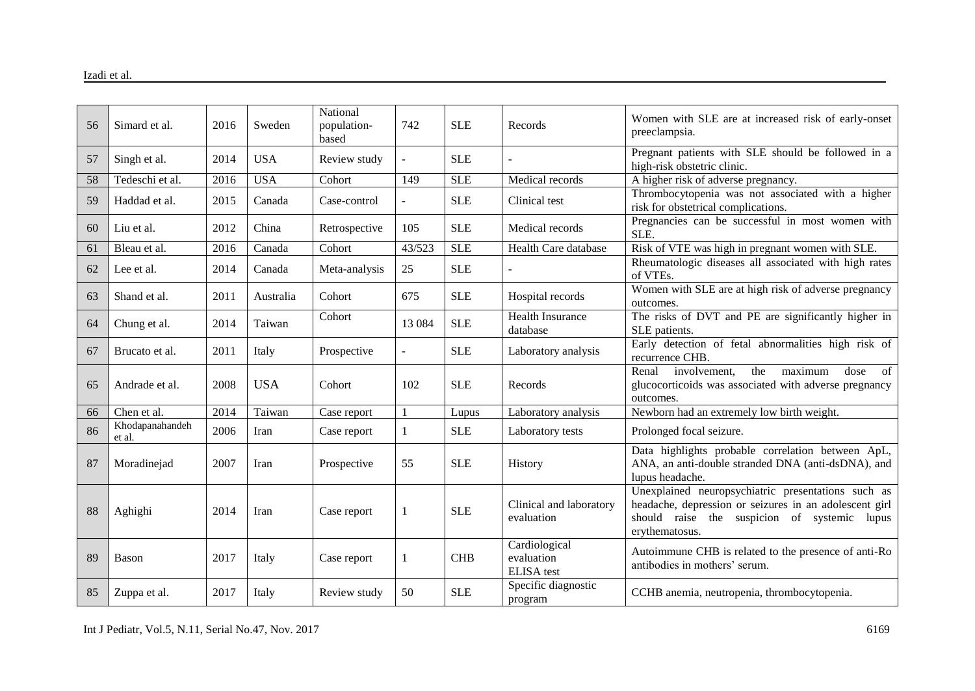| 56 | Simard et al.             | 2016 | Sweden     | National<br>population- | 742     | <b>SLE</b> | Records                                          | Women with SLE are at increased risk of early-onset<br>preeclampsia.                                                                                                           |
|----|---------------------------|------|------------|-------------------------|---------|------------|--------------------------------------------------|--------------------------------------------------------------------------------------------------------------------------------------------------------------------------------|
| 57 | Singh et al.              | 2014 | <b>USA</b> | based<br>Review study   |         | <b>SLE</b> |                                                  | Pregnant patients with SLE should be followed in a<br>high-risk obstetric clinic.                                                                                              |
| 58 | Tedeschi et al.           | 2016 | <b>USA</b> | Cohort                  | 149     | <b>SLE</b> | Medical records                                  | A higher risk of adverse pregnancy.                                                                                                                                            |
| 59 | Haddad et al.             | 2015 | Canada     | Case-control            |         | <b>SLE</b> | Clinical test                                    | Thrombocytopenia was not associated with a higher<br>risk for obstetrical complications.                                                                                       |
| 60 | Liu et al.                | 2012 | China      | Retrospective           | 105     | <b>SLE</b> | Medical records                                  | Pregnancies can be successful in most women with<br>SLE.                                                                                                                       |
| 61 | Bleau et al.              | 2016 | Canada     | Cohort                  | 43/523  | <b>SLE</b> | Health Care database                             | Risk of VTE was high in pregnant women with SLE.                                                                                                                               |
| 62 | Lee et al.                | 2014 | Canada     | Meta-analysis           | 25      | <b>SLE</b> |                                                  | Rheumatologic diseases all associated with high rates<br>of VTEs.                                                                                                              |
| 63 | Shand et al.              | 2011 | Australia  | Cohort                  | 675     | <b>SLE</b> | Hospital records                                 | Women with SLE are at high risk of adverse pregnancy<br>outcomes.                                                                                                              |
| 64 | Chung et al.              | 2014 | Taiwan     | Cohort                  | 13 0 84 | <b>SLE</b> | Health Insurance<br>database                     | The risks of DVT and PE are significantly higher in<br>SLE patients.                                                                                                           |
| 67 | Brucato et al.            | 2011 | Italy      | Prospective             |         | <b>SLE</b> | Laboratory analysis                              | Early detection of fetal abnormalities high risk of<br>recurrence CHB.                                                                                                         |
| 65 | Andrade et al.            | 2008 | <b>USA</b> | Cohort                  | 102     | <b>SLE</b> | Records                                          | the<br>maximum<br>Renal<br>involvement,<br>dose<br>of<br>glucocorticoids was associated with adverse pregnancy<br>outcomes.                                                    |
| 66 | Chen et al.               | 2014 | Taiwan     | Case report             |         | Lupus      | Laboratory analysis                              | Newborn had an extremely low birth weight.                                                                                                                                     |
| 86 | Khodapanahandeh<br>et al. | 2006 | Iran       | Case report             | 1       | <b>SLE</b> | Laboratory tests                                 | Prolonged focal seizure.                                                                                                                                                       |
| 87 | Moradinejad               | 2007 | Iran       | Prospective             | 55      | <b>SLE</b> | History                                          | Data highlights probable correlation between ApL,<br>ANA, an anti-double stranded DNA (anti-dsDNA), and<br>lupus headache.                                                     |
| 88 | Aghighi                   | 2014 | Iran       | Case report             |         | <b>SLE</b> | Clinical and laboratory<br>evaluation            | Unexplained neuropsychiatric presentations such as<br>headache, depression or seizures in an adolescent girl<br>should raise the suspicion of systemic lupus<br>erythematosus. |
| 89 | Bason                     | 2017 | Italy      | Case report             | 1       | <b>CHB</b> | Cardiological<br>evaluation<br><b>ELISA</b> test | Autoimmune CHB is related to the presence of anti-Ro<br>antibodies in mothers' serum.                                                                                          |
| 85 | Zuppa et al.              | 2017 | Italy      | Review study            | 50      | <b>SLE</b> | Specific diagnostic<br>program                   | CCHB anemia, neutropenia, thrombocytopenia.                                                                                                                                    |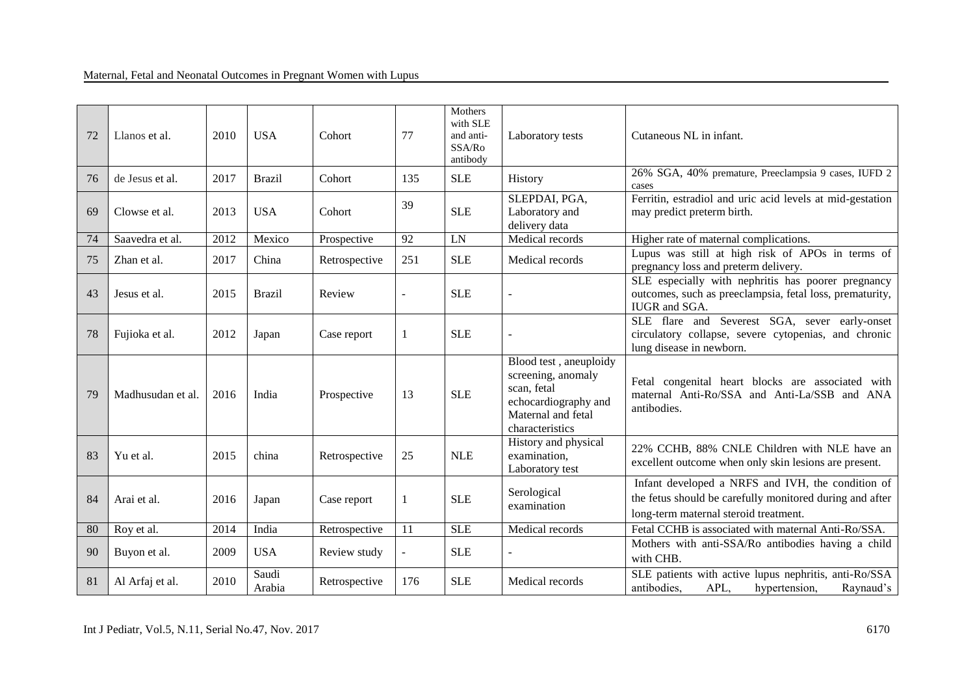| 72 | Llanos et al.     | 2010 | <b>USA</b>      | Cohort        | 77  | Mothers<br>with SLE<br>and anti-<br>SSA/Ro<br>antibody | Laboratory tests                                                                                                             | Cutaneous NL in infant.                                                                                                                                |
|----|-------------------|------|-----------------|---------------|-----|--------------------------------------------------------|------------------------------------------------------------------------------------------------------------------------------|--------------------------------------------------------------------------------------------------------------------------------------------------------|
| 76 | de Jesus et al.   | 2017 | <b>Brazil</b>   | Cohort        | 135 | <b>SLE</b>                                             | History                                                                                                                      | 26% SGA, 40% premature, Preeclampsia 9 cases, IUFD 2<br>cases                                                                                          |
| 69 | Clowse et al.     | 2013 | <b>USA</b>      | Cohort        | 39  | <b>SLE</b>                                             | SLEPDAI, PGA,<br>Laboratory and<br>delivery data                                                                             | Ferritin, estradiol and uric acid levels at mid-gestation<br>may predict preterm birth.                                                                |
| 74 | Saavedra et al.   | 2012 | Mexico          | Prospective   | 92  | LN                                                     | Medical records                                                                                                              | Higher rate of maternal complications.                                                                                                                 |
| 75 | Zhan et al.       | 2017 | China           | Retrospective | 251 | <b>SLE</b>                                             | Medical records                                                                                                              | Lupus was still at high risk of APOs in terms of<br>pregnancy loss and preterm delivery.                                                               |
| 43 | Jesus et al.      | 2015 | <b>Brazil</b>   | Review        |     | <b>SLE</b>                                             |                                                                                                                              | SLE especially with nephritis has poorer pregnancy<br>outcomes, such as preeclampsia, fetal loss, prematurity,<br>IUGR and SGA.                        |
| 78 | Fujioka et al.    | 2012 | Japan           | Case report   | 1   | <b>SLE</b>                                             |                                                                                                                              | SLE flare and Severest SGA, sever early-onset<br>circulatory collapse, severe cytopenias, and chronic<br>lung disease in newborn.                      |
| 79 | Madhusudan et al. | 2016 | India           | Prospective   | 13  | <b>SLE</b>                                             | Blood test, aneuploidy<br>screening, anomaly<br>scan, fetal<br>echocardiography and<br>Maternal and fetal<br>characteristics | Fetal congenital heart blocks are associated with<br>maternal Anti-Ro/SSA and Anti-La/SSB and ANA<br>antibodies.                                       |
| 83 | Yu et al.         | 2015 | china           | Retrospective | 25  | <b>NLE</b>                                             | History and physical<br>examination,<br>Laboratory test                                                                      | 22% CCHB, 88% CNLE Children with NLE have an<br>excellent outcome when only skin lesions are present.                                                  |
| 84 | Arai et al.       | 2016 | Japan           | Case report   | 1   | <b>SLE</b>                                             | Serological<br>examination                                                                                                   | Infant developed a NRFS and IVH, the condition of<br>the fetus should be carefully monitored during and after<br>long-term maternal steroid treatment. |
| 80 | Roy et al.        | 2014 | India           | Retrospective | 11  | SLE                                                    | Medical records                                                                                                              | Fetal CCHB is associated with maternal Anti-Ro/SSA.                                                                                                    |
| 90 | Buyon et al.      | 2009 | <b>USA</b>      | Review study  |     | <b>SLE</b>                                             |                                                                                                                              | Mothers with anti-SSA/Ro antibodies having a child<br>with CHB.                                                                                        |
| 81 | Al Arfaj et al.   | 2010 | Saudi<br>Arabia | Retrospective | 176 | <b>SLE</b>                                             | Medical records                                                                                                              | SLE patients with active lupus nephritis, anti-Ro/SSA<br>antibodies,<br>Raynaud's<br>APL,<br>hypertension,                                             |